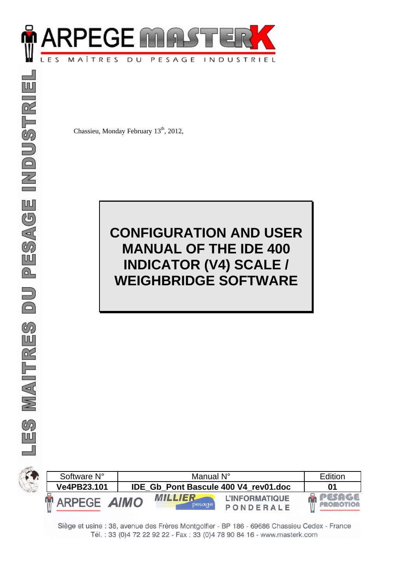

Chassieu, Monday February 13<sup>th</sup>, 2012,

# **CONFIGURATION AND USER MANUAL OF THE IDE 400 INDICATOR (V4) SCALE / WEIGHBRIDGE SOFTWARE**





Siège et usine : 38, avenue des Frères Montgolfier - BP 186 - 69686 Chassieu Cedex - France Tél.: 33 (0) 4 72 22 92 22 - Fax: 33 (0) 4 78 90 84 16 - www.masterk.com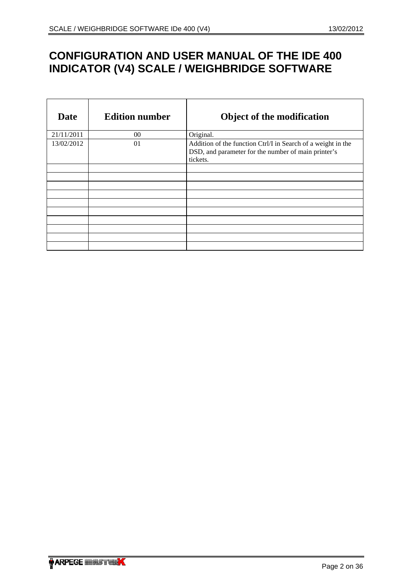# **CONFIGURATION AND USER MANUAL OF THE IDE 400 INDICATOR (V4) SCALE / WEIGHBRIDGE SOFTWARE**

| Date       | <b>Edition number</b> | <b>Object of the modification</b>                                                                                               |
|------------|-----------------------|---------------------------------------------------------------------------------------------------------------------------------|
| 21/11/2011 | $00\,$                | Original.                                                                                                                       |
| 13/02/2012 | 01                    | Addition of the function Ctrl/I in Search of a weight in the<br>DSD, and parameter for the number of main printer's<br>tickets. |
|            |                       |                                                                                                                                 |
|            |                       |                                                                                                                                 |
|            |                       |                                                                                                                                 |
|            |                       |                                                                                                                                 |
|            |                       |                                                                                                                                 |
|            |                       |                                                                                                                                 |
|            |                       |                                                                                                                                 |
|            |                       |                                                                                                                                 |
|            |                       |                                                                                                                                 |
|            |                       |                                                                                                                                 |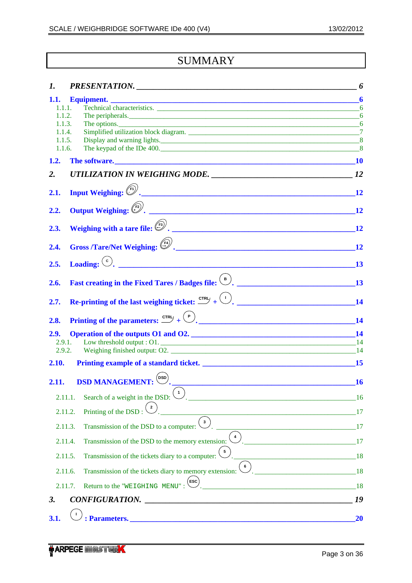# **SUMMARY**

| 1.               |                                                                                                                                                                                                                                                                                                                                            | 6                          |
|------------------|--------------------------------------------------------------------------------------------------------------------------------------------------------------------------------------------------------------------------------------------------------------------------------------------------------------------------------------------|----------------------------|
|                  |                                                                                                                                                                                                                                                                                                                                            | $\boldsymbol{6}$           |
| 1.1.1.           |                                                                                                                                                                                                                                                                                                                                            |                            |
| 1.1.2.           |                                                                                                                                                                                                                                                                                                                                            |                            |
| 1.1.3.<br>1.1.4. |                                                                                                                                                                                                                                                                                                                                            |                            |
| 1.1.5.           |                                                                                                                                                                                                                                                                                                                                            |                            |
| 1.1.6.           | The keypad of the IDe 400.                                                                                                                                                                                                                                                                                                                 | 8                          |
| 1.2.             |                                                                                                                                                                                                                                                                                                                                            |                            |
| 2.               | UTILIZATION IN WEIGHING MODE. 22                                                                                                                                                                                                                                                                                                           |                            |
|                  |                                                                                                                                                                                                                                                                                                                                            |                            |
| 2.1.             | Input Weighing: (Fi).                                                                                                                                                                                                                                                                                                                      | 12                         |
|                  |                                                                                                                                                                                                                                                                                                                                            |                            |
| 2.2.             |                                                                                                                                                                                                                                                                                                                                            | 12                         |
| 2.3.             | Weighing with a tare file: $\binom{F_3}{2}$ .                                                                                                                                                                                                                                                                                              | 12                         |
|                  |                                                                                                                                                                                                                                                                                                                                            |                            |
| 2.4.             | Gross /Tare/Net Weighing: $\begin{pmatrix} 54 \\ 1 \end{pmatrix}$ .                                                                                                                                                                                                                                                                        | 12                         |
|                  |                                                                                                                                                                                                                                                                                                                                            |                            |
| 2.5.             | Loading: $\left( \circ \right)$ .                                                                                                                                                                                                                                                                                                          | 13                         |
|                  |                                                                                                                                                                                                                                                                                                                                            |                            |
| 2.6.             | Fast creating in the Fixed Tares / Badges file: (B).                                                                                                                                                                                                                                                                                       | 13                         |
|                  |                                                                                                                                                                                                                                                                                                                                            |                            |
| 2.7.             | Re-printing of the last weighing ticket: $\mathbb{C}^{TR}$ + $\left(\frac{1}{2}\right)$ .                                                                                                                                                                                                                                                  |                            |
|                  |                                                                                                                                                                                                                                                                                                                                            |                            |
| 2.8.             | Printing of the parameters: $\overline{C}$ + $\overline{C}$ + $\overline{C}$ + $\overline{C}$ + $\overline{C}$ + $\overline{C}$ + $\overline{C}$ + $\overline{C}$ + $\overline{C}$ + $\overline{C}$ + $\overline{C}$ + $\overline{C}$ + $\overline{C}$ + $\overline{C}$ + $\overline{C}$ + $\overline{C}$ + $\overline{C}$ + $\overline{C$ | 14                         |
| 2.9.             | Operation of the outputs O1 and O2. 14                                                                                                                                                                                                                                                                                                     |                            |
|                  | 2.9.1.                                                                                                                                                                                                                                                                                                                                     |                            |
| 2.9.2.           | Weighing finished output: O2.                                                                                                                                                                                                                                                                                                              |                            |
| 2.10.            | <b>Printing example of a standard ticket.</b>                                                                                                                                                                                                                                                                                              | 15                         |
|                  |                                                                                                                                                                                                                                                                                                                                            |                            |
| 2.11.            | <b>DSD MANAGEMENT:</b> $\overset{\text{(bso)}}{\odot}$ .                                                                                                                                                                                                                                                                                   | <b>16</b>                  |
|                  | Search of a weight in the DSD: $(1)$<br>2.11.1.                                                                                                                                                                                                                                                                                            | 16                         |
|                  | $\overline{\mathbf{2}}$<br>Printing of the DSD:<br>2.11.2.                                                                                                                                                                                                                                                                                 | 17                         |
|                  | $\left(3\right)$<br>Transmission of the DSD to a computer:<br>2.11.3.                                                                                                                                                                                                                                                                      | $\overline{\phantom{a}17}$ |
|                  | $\left( \begin{array}{c} 4 \end{array} \right)$<br>Transmission of the DSD to the memory extension:<br>2.11.4.                                                                                                                                                                                                                             |                            |
|                  |                                                                                                                                                                                                                                                                                                                                            |                            |
|                  | Transmission of the tickets diary to a computer: $\frac{5}{5}$<br>2.11.5.                                                                                                                                                                                                                                                                  | $\overline{18}$            |
|                  | $\binom{6}{ }$<br>$\frac{1}{2}$ .<br>Transmission of the tickets diary to memory extension:<br>2.11.6.                                                                                                                                                                                                                                     |                            |
|                  | Return to the "WEIGHING MENU": $\left($ ESC $\right)$ .<br>2.11.7.                                                                                                                                                                                                                                                                         | 18                         |
| 3.               | CONFIGURATION.                                                                                                                                                                                                                                                                                                                             | 19                         |
|                  |                                                                                                                                                                                                                                                                                                                                            |                            |
| 3.1.             |                                                                                                                                                                                                                                                                                                                                            | <b>20</b>                  |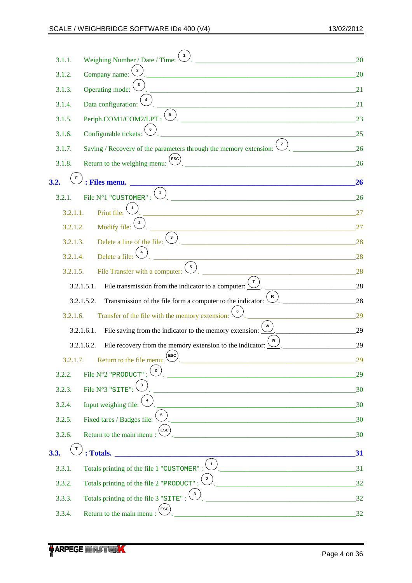| 3.1.1.   | Weighing Number / Date / Time:                                                                                                                                                                                       | 20 |
|----------|----------------------------------------------------------------------------------------------------------------------------------------------------------------------------------------------------------------------|----|
| 3.1.2.   | Company name:                                                                                                                                                                                                        | 20 |
| 3.1.3.   | Operating mode:                                                                                                                                                                                                      | 21 |
| 3.1.4.   | Data configuration:                                                                                                                                                                                                  | 21 |
| 3.1.5.   | $\overline{\mathbf{5}}$<br>Periph.COM1/COM2/LPT:                                                                                                                                                                     | 23 |
| 3.1.6.   | Configurable tickets:                                                                                                                                                                                                | 25 |
| 3.1.7.   | $\overline{7}$<br>Saving / Recovery of the parameters through the memory extension:                                                                                                                                  | 26 |
| 3.1.8.   | $(\mathsf{esc})$<br>Return to the weighing menu:                                                                                                                                                                     | 26 |
| 3.2.     | : Files menu.<br><u> 1980 - Johann John Stoff, deutscher Stoffen und der Stoffen und der Stoffen und der Stoffen und der Stoffen</u>                                                                                 | 26 |
| 3.2.1.   | $\overline{1}$<br>File N°1 "CUSTOMER" :<br><u> 1980 - Jan Barnett, mars eta bainar eta bat zen bat zen arteko harta zen bat zen bat zen bat zen bat zen bat </u>                                                     | 26 |
| 3.2.1.1. | Print file:                                                                                                                                                                                                          | 27 |
| 3.2.1.2. | $\overline{\mathbf{c}}$<br>Modify file:                                                                                                                                                                              | 27 |
| 3.2.1.3. | $\mathbf{3}$<br>Delete a line of the file:                                                                                                                                                                           | 28 |
| 3.2.1.4. | Delete a file:                                                                                                                                                                                                       | 28 |
| 3.2.1.5. | $\begin{bmatrix} 5 \end{bmatrix}$<br>File Transfer with a computer:                                                                                                                                                  | 28 |
|          | $\mathbf{T}$<br>3.2.1.5.1.<br>File transmission from the indicator to a computer:                                                                                                                                    | 28 |
|          | $\mathbf R$<br>Transmission of the file form a computer to the indicator:<br>3.2.1.5.2.                                                                                                                              | 28 |
| 3.2.1.6. | Transfer of the file with the memory extension:                                                                                                                                                                      | 29 |
|          | File saving from the indicator to the memory extension: $\frac{1}{2}$<br>3.2.1.6.1.                                                                                                                                  | 29 |
|          | File recovery from the memory extension to the indicator:<br>3.2.1.6.2.                                                                                                                                              | 29 |
| 3.2.1.7. | $^\prime$ ESC $^\prime$<br>Return to the file menu: $\bigcup$                                                                                                                                                        | 29 |
| 3.2.2.   | File N°2 "PRODUCT":                                                                                                                                                                                                  | 29 |
| 3.2.3.   | File N°3 "SITE":                                                                                                                                                                                                     | 30 |
| 3.2.4.   | Input weighing file:                                                                                                                                                                                                 | 30 |
| 3.2.5.   | Fixed tares / Badges file:                                                                                                                                                                                           | 30 |
| 3.2.6.   | $\mathsf{esc}$ )<br>Return to the main menu:                                                                                                                                                                         | 30 |
| 3.3.     | : Totals.                                                                                                                                                                                                            | 31 |
| 3.3.1.   | $\blacksquare$<br>Totals printing of the file 1 "CUSTOMER":<br><u>2003 - Januar Schwarzen, amerikan politik (</u>                                                                                                    |    |
| 3.3.2.   | $\left( \begin{array}{c} 2 \end{array} \right)$<br>Totals printing of the file 2 "PRODUCT":<br><u> 1988 - Johann Barbara, martin da kasas da shekara 1989 - An dan Amerika San Amerika San Amerika San Amerika S</u> | 32 |
| 3.3.3.   | $\begin{pmatrix} 3 \end{pmatrix}$<br>Totals printing of the file 3 "SITE":                                                                                                                                           | 32 |
| 3.3.4.   | ESC<br>Return to the main menu:                                                                                                                                                                                      | 32 |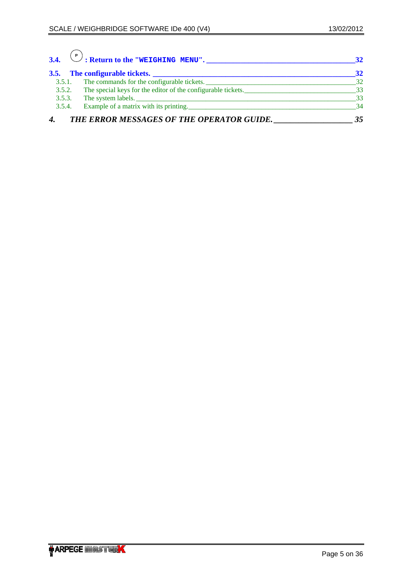$\curvearrowright$ 

| 3.4.   | P<br>$\binom{P}{\cdot}$ : Return to the "WEIGHING MENU".     | 32 |
|--------|--------------------------------------------------------------|----|
|        | 3.5. The configurable tickets.                               | 32 |
| 3.5.1. | The commands for the configurable tickets.                   | 32 |
| 3.5.2. | The special keys for the editor of the configurable tickets. | 33 |
| 3.5.3. | The system labels.                                           | 33 |
| 3.5.4. | Example of a matrix with its printing.                       | 34 |
|        | THE ERROR MESSAGES OF THE OPERATOR GUIDE.                    | 35 |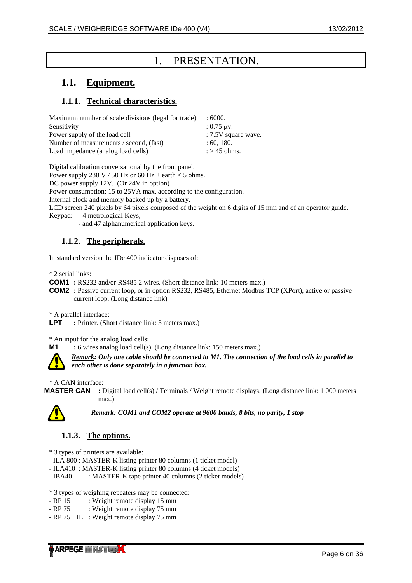# 1. PRESENTATION.

# <span id="page-5-0"></span>**1.1. Equipment.**

# **1.1.1. Technical characteristics.**

| Maximum number of scale divisions (legal for trade) | :6000.                  |
|-----------------------------------------------------|-------------------------|
| Sensitivity                                         | $: 0.75$ uv.            |
| Power supply of the load cell                       | : 7.5V square wave.     |
| Number of measurements / second, (fast)             | : 60, 180.              |
| Load impedance (analog load cells)                  | $\therefore$ > 45 ohms. |

Digital calibration conversational by the front panel.

Power supply 230 V / 50 Hz or 60 Hz + earth < 5 ohms.

DC power supply 12V. (Or 24V in option)

Power consumption: 15 to 25VA max, according to the configuration.

Internal clock and memory backed up by a battery.

LCD screen 240 pixels by 64 pixels composed of the weight on 6 digits of 15 mm and of an operator guide.

Keypad: - 4 metrological Keys,

- and 47 alphanumerical application keys.

## **1.1.2. The peripherals.**

In standard version the IDe 400 indicator disposes of:

\* 2 serial links:

**COM1** : RS232 and/or RS485 2 wires. (Short distance link: 10 meters max.)

**COM2** : Passive current loop, or in option RS232, RS485, Ethernet Modbus TCP (XPort), active or passive current loop. (Long distance link)

\* A parallel interface:

**LPT** : Printer. (Short distance link: 3 meters max.)

\* An input for the analog load cells:

**M1** : 6 wires analog load cell(s). (Long distance link: 150 meters max.)



*Remark: Only one cable should be connected to M1. The connection of the load cells in parallel to each other is done separately in a junction box.*

\* A CAN interface:

**MASTER CAN :** Digital load cell(s) / Terminals / Weight remote displays. (Long distance link: 1 000 meters max.)



*Remark: COM1 and COM2 operate at 9600 bauds, 8 bits, no parity, 1 stop* 

## **1.1.3. The options.**

\* 3 types of printers are available:

- ILA 800 : MASTER-K listing printer 80 columns (1 ticket model)

- ILA410 : MASTER-K listing printer 80 columns (4 ticket models)

- IBA40 : MASTER-K tape printer 40 columns (2 ticket models)

\* 3 types of weighing repeaters may be connected:

- RP 15 : Weight remote display 15 mm
- RP 75 : Weight remote display 75 mm
- RP 75 HL : Weight remote display 75 mm

**ARPEGE MINISTREX**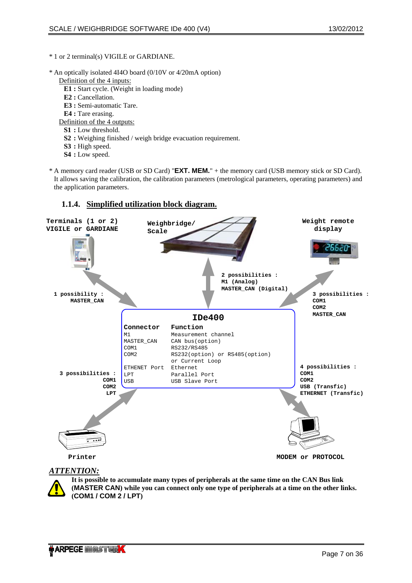### <span id="page-6-0"></span>\* 1 or 2 terminal(s) VIGILE or GARDIANE.

- \* An optically isolated 4I4O board (0/10V or 4/20mA option)
	- Definition of the 4 inputs:
		- **E1 :** Start cycle. (Weight in loading mode)
		- **E2 :** Cancellation.
		- **E3 :** Semi-automatic Tare.
		- **E4 :** Tare erasing.
	- Definition of the 4 outputs:
		- **S1 :** Low threshold.
		- **S2 :** Weighing finished / weigh bridge evacuation requirement.
		- **S3 :** High speed.
		- **S4 :** Low speed.
- \* A memory card reader (USB or SD Card) "**EXT. MEM.**" + the memory card (USB memory stick or SD Card). It allows saving the calibration, the calibration parameters (metrological parameters, operating parameters) and the application parameters.

### **Terminals (1 or 2) Weight remote Weighbridge/ VIGILE or GARDIANE display Scale** 2662 **2 possibilities : M1 (Analog) MASTER\_CAN (Digital) 1 possibility : 3 possibilities : MASTER\_CAN COM1 COM2 MASTER\_CAN IDe400 Connector Function** M1 Measurement channel MASTER\_CAN CAN bus(option)<br>COM1 RS232/RS485 COM1 RS232/RS485<br>
COM2 RS232(optio RS232(option) or RS485(option) or Current Loop ETHENET Port Ethernet **4 possibilities : 3 possibilities : COM1** LPT Parallel Port **COM2 COM1** USB USB Slave Port **COM2 USB (Transfic) ETHERNET (Transfic) LPT Printer MODEM or PROTOCOL**

## **1.1.4. Simplified utilization block diagram.**

## *ATTENTION:*

**It is possible to accumulate many types of peripherals at the same time on the CAN Bus link (MASTER CAN) while you can connect only one type of peripherals at a time on the other links. (COM1 / COM 2 / LPT)**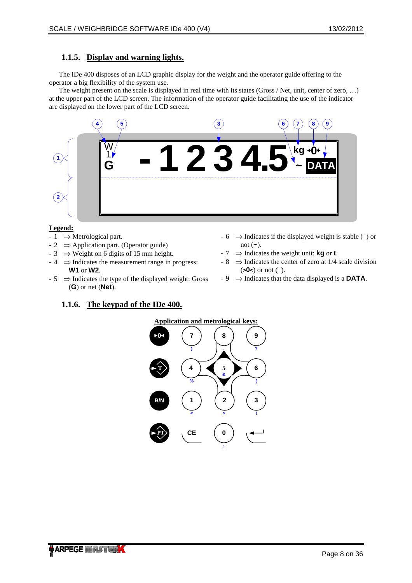## <span id="page-7-0"></span>**1.1.5. Display and warning lights.**

The IDe 400 disposes of an LCD graphic display for the weight and the operator guide offering to the operator a big flexibility of the system use.

The weight present on the scale is displayed in real time with its states (Gross / Net, unit, center of zero, …) at the upper part of the LCD screen. The information of the operator guide facilitating the use of the indicator are displayed on the lower part of the LCD screen.



### **Legend:**

- $-1 \implies$  Metrological part.
- $2 \implies$  Application part. (Operator guide)
- $-3 \Rightarrow$  Weight on 6 digits of 15 mm height.
- $-4 \implies$  Indicates the measurement range in progress: **W1** or **W2**.
- $-5 \implies$  Indicates the type of the displayed weight: Gross (**G**) or net (**Net**).

## $-6 \implies$  Indicates if the displayed weight is stable () or not (**~**).

- 7 ⇒ Indicates the weight unit: **kg** or **t**.
- $-8 \implies$  Indicates the center of zero at 1/4 scale division (**>0<**) or not ( ).
- 9 ⇒ Indicates that the data displayed is a **DATA**.

## **1.1.6. The keypad of the IDe 400.**

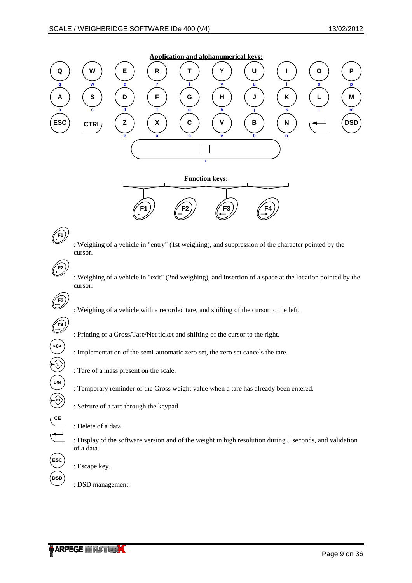

 : Display of the software version and of the weight in high resolution during 5 seconds, and validation of a data.

: Escape key.

**ESC**

**DSD**

: DSD management.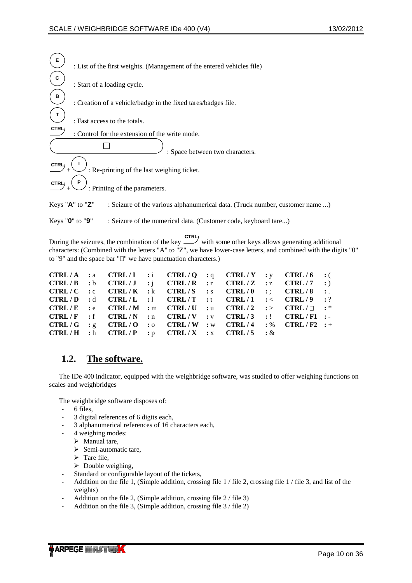<span id="page-9-0"></span>

| Е                       | : List of the first weights. (Management of the entered vehicles file)                               |
|-------------------------|------------------------------------------------------------------------------------------------------|
| C                       | : Start of a loading cycle.                                                                          |
| в                       | : Creation of a vehicle/badge in the fixed tares/badges file.                                        |
|                         | : Fast access to the totals.                                                                         |
| CTRL                    | : Control for the extension of the write mode.                                                       |
|                         | : Space between two characters.                                                                      |
| CTRL                    | : Re-printing of the last weighing ticket.                                                           |
| CTRL <sub>/</sub>       | : Printing of the parameters.                                                                        |
| Keys " $A$ " to " $Z$ " | : Seizure of the various alphanumerical data. (Truck number, customer name )                         |
| Keys " $0$ " to " $9$ " | : Seizure of the numerical data. (Customer code, keyboard tare)                                      |
|                         | with some other keys allows generating addition<br>During the seizures, the combination of the key - |

During the seizures, the combination of the key  $\sim$  with some other keys allows generating additional characters: (Combined with the letters "A" to "Z", we have lower-case letters, and combined with the digits "0" to "9" and the space bar " $\square$ " we have punctuation characters.)

|  |                                                                                                   |  |  | CTRL/A :a CTRL/I :i CTRL/Q :q CTRL/Y :y CTRL/6 :(                                                                             |  |
|--|---------------------------------------------------------------------------------------------------|--|--|-------------------------------------------------------------------------------------------------------------------------------|--|
|  |                                                                                                   |  |  | $\text{CTRL}/\text{B}$ :b $\text{CTRL}/\text{J}$ :j $\text{CTRL}/\text{R}$ :r $\text{CTRL}/\text{Z}$ :z $\text{CTRL}/7$ :)    |  |
|  |                                                                                                   |  |  | $\text{CTRL/C}$ :c $\text{CTRL/K}$ :k $\text{CTRL/S}$ :s $\text{CTRL}/0$ :; $\text{CTRL}/8$ :.                                |  |
|  |                                                                                                   |  |  | CTRL/D :d CTRL/L :1 CTRL/T :t CTRL/1 :< CTRL/9 :?                                                                             |  |
|  |                                                                                                   |  |  | $\mathsf{CTRL}/E$ :e $\mathsf{CTRL}/\mathbf{M}$ :m $\mathsf{CTRL}/U$ :u $\mathsf{CTRL}/2$ :> $\mathsf{CTRL}/\square$ :*       |  |
|  |                                                                                                   |  |  | $\text{CTRL}/\text{F}$ : f $\text{CTRL}/\text{N}$ : n $\text{CTRL}/\text{V}$ : v $\text{CTRL}/3$ : $\text{CTRL}/\text{F1}$ :- |  |
|  |                                                                                                   |  |  | CTRL/G : $g$ CTRL/O : $o$ CTRL/W : $w$ CTRL/4 : $%$ CTRL/F2 : +                                                               |  |
|  | $\text{CTRL}/\text{H}$ :h $\text{CTRL}/\text{P}$ :p $\text{CTRL}/\text{X}$ :x $\text{CTRL}/5$ : & |  |  |                                                                                                                               |  |

# **1.2. The software.**

The IDe 400 indicator, equipped with the weighbridge software, was studied to offer weighing functions on scales and weighbridges

The weighbridge software disposes of:

- 6 files,
- 3 digital references of 6 digits each,
- 3 alphanumerical references of 16 characters each,
- 4 weighing modes:
	- $\triangleright$  Manual tare,
	- $\triangleright$  Semi-automatic tare,
	- $\triangleright$  Tare file,
	- $\triangleright$  Double weighing,
- Standard or configurable layout of the tickets,
- Addition on the file 1, (Simple addition, crossing file 1 / file 2, crossing file 1 / file 3, and list of the weights)
- Addition on the file 2, (Simple addition, crossing file 2 / file 3)
- Addition on the file 3, (Simple addition, crossing file 3 / file 2)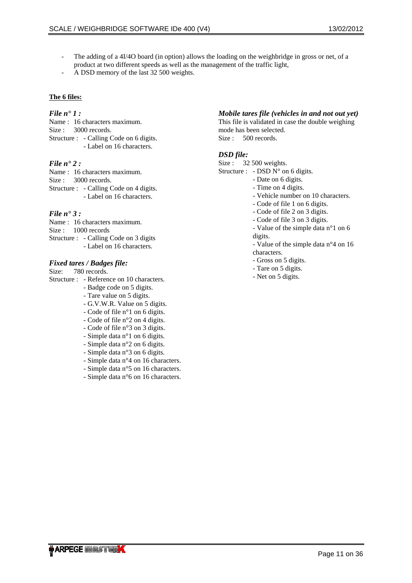- The adding of a 4I/4O board (in option) allows the loading on the weighbridge in gross or net, of a product at two different speeds as well as the management of the traffic light,
- A DSD memory of the last 32 500 weights.

### **The 6 files:**

### *File n° 1 :*

Name : 16 characters maximum. Size : 3000 records. Structure : - Calling Code on 6 digits. - Label on 16 characters.

### *File n° 2 :*

Name : 16 characters maximum. Size : 3000 records. Structure : - Calling Code on 4 digits. - Label on 16 characters.

### *File n° 3 :*

Name : 16 characters maximum. Size : 1000 records Structure : - Calling Code on 3 digits - Label on 16 characters.

### *Fixed tares / Badges file:*

Size: 780 records.

Structure : - Reference on 10 characters.

- Badge code on 5 digits.

- Tare value on 5 digits.

- G.V.W.R. Value on 5 digits.

- Code of file n°1 on 6 digits.

- Code of file n°2 on 4 digits.
- Code of file n°3 on 3 digits.
- Simple data n°1 on 6 digits.
- Simple data n°2 on 6 digits.
- Simple data n°3 on 6 digits.
- Simple data n°4 on 16 characters.
- Simple data n°5 on 16 characters.
- Simple data n°6 on 16 characters.

## *Mobile tares file (vehicles in and not out yet)*

This file is validated in case the double weighing mode has been selected. Size : 500 records.

### *DSD file:*

Size : 32 500 weights.

Structure : - DSD  $N^{\circ}$  on 6 digits.

- Date on 6 digits.
- Time on 4 digits.
- Vehicle number on 10 characters.
- Code of file 1 on 6 digits.
- Code of file 2 on 3 digits.
- Code of file 3 on 3 digits.
- Value of the simple data n°1 on 6 digits.
- Value of the simple data n°4 on 16 characters.
- Gross on 5 digits.
- Tare on 5 digits.
- Net on 5 digits.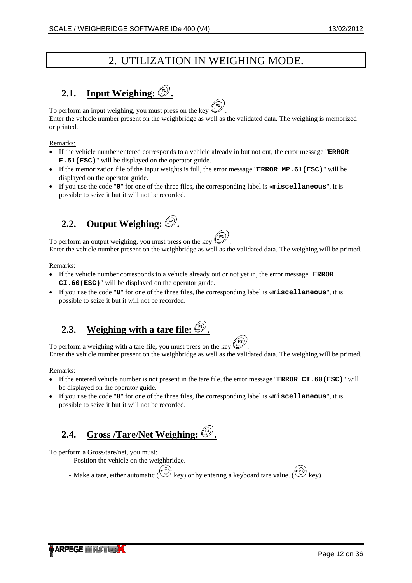# 2. UTILIZATION IN WEIGHING MODE.

# <span id="page-11-0"></span>**2.1. Input Weighing:**  $\mathbb{C}^{\prime\prime}$ .

To perform an input weighing, you must press on the key  $\ell$ **-** . Enter the vehicle number present on the weighbridge as well as the validated data. The weighing is memorized or printed.

Remarks:

- If the vehicle number entered corresponds to a vehicle already in but not out, the error message "**ERROR E.51(ESC)**" will be displayed on the operator guide.
- If the memorization file of the input weights is full, the error message "**ERROR MP.61(ESC)**" will be displayed on the operator guide.
- If you use the code "**0**" for one of the three files, the corresponding label is «**miscellaneous**", it is possible to seize it but it will not be recorded.

# **2.2. Output Weighing:**  $\overset{\{\text{F2}\}}{\smile}$ .

To perform an output weighing, you must press on the key  $\ell$ **<sup>+</sup>** . Enter the vehicle number present on the weighbridge as well as the validated data. The weighing will be printed.

Remarks:

- If the vehicle number corresponds to a vehicle already out or not yet in, the error message "**ERROR CI.60(ESC)**" will be displayed on the operator guide.
- If you use the code "**0**" for one of the three files, the corresponding label is «**miscellaneous**", it is possible to seize it but it will not be recorded.

# **2.3. Weighing with a tare file: F3 .**



To perform a weighing with a tare file, you must press on the key **F3** Enter the vehicle number present on the weighbridge as well as the validated data. The weighing will be printed.

## Remarks:

- If the entered vehicle number is not present in the tare file, the error message "**ERROR CI.60(ESC)**" will be displayed on the operator guide.
- If you use the code "**0**" for one of the three files, the corresponding label is «**miscellaneous**", it is possible to seize it but it will not be recorded.

# **2.4. Gross /Tare/Net Weighing: F4 .**

To perform a Gross/tare/net, you must:

- Position the vehicle on the weighbridge.
- Make a tare, either automatic ( $\overset{(-1)}{\vee}$  key) or by entering a keyboard tare value. ( $\overset{(-17)}{\vee}$  key)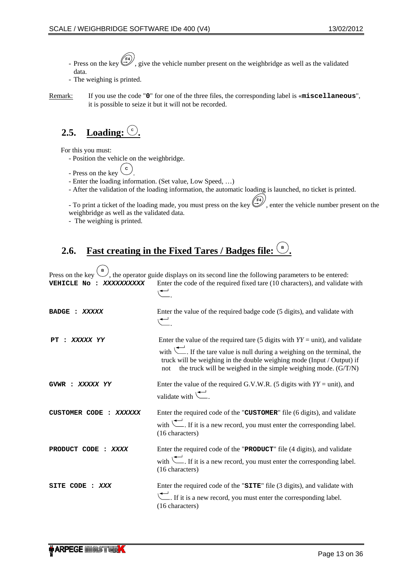- <span id="page-12-0"></span>- Press on the key **F4** , give the vehicle number present on the weighbridge as well as the validated data.
- The weighing is printed.
- Remark: If you use the code "**0**" for one of the three files, the corresponding label is «**miscellaneous**", it is possible to seize it but it will not be recorded.

#### 2.5. **Loading:**  $\frac{c}{c}$ **.**

For this you must:

- Position the vehicle on the weighbridge.
- $-$  Press on the key  $\begin{pmatrix} c \end{pmatrix}$ .
- Enter the loading information. (Set value, Low Speed, …)
- After the validation of the loading information, the automatic loading is launched, no ticket is printed.

To print a ticket of the loading made, you must press on the key  $(F^4)$ , enter the vehicle number present on the weighbridge as well as the validated data.

- The weighing is printed.

#### 2.6. **Fast creating in the Fixed Tares / Badges file .**

Press on the key  $\ell$ , the operator guide displays on its second line the following parameters to be entered: **VEHICLE No :** *XXXXXXXXXX* Enter the code of the required fixed tare (10 characters), and validate with . **BADGE :** *XXXXX* Enter the value of the required badge code (5 digits), and validate with . **PT :** *XXXXX YY* Enter the value of the required tare (5 digits with *YY* = unit), and validate with  $\left\langle \right\rangle$ . If the tare value is null during a weighing on the terminal, the

truck will be weighing in the double weighing mode (Input / Output) if not the truck will be weighed in the simple weighing mode. (G/T/N)

**GVWR :** *XXXXX YY* Enter the value of the required G.V.W.R. (5 digits with *YY* = unit), and validate with  $\sqrt{\phantom{a}}$ 

**CUSTOMER CODE :** *XXXXXX* Enter the required code of the "**CUSTOMER**" file (6 digits), and validate with  $\leftarrow$ . If it is a new record, you must enter the corresponding label. (16 characters)

**PRODUCT CODE :** *XXXX* Enter the required code of the "**PRODUCT**" file (4 digits), and validate with  $\leftarrow$ . If it is a new record, you must enter the corresponding label. (16 characters)

**SITE CODE :** *XXX* Enter the required code of the "**SITE**" file (3 digits), and validate with If it is a new record, you must enter the corresponding label. (16 characters)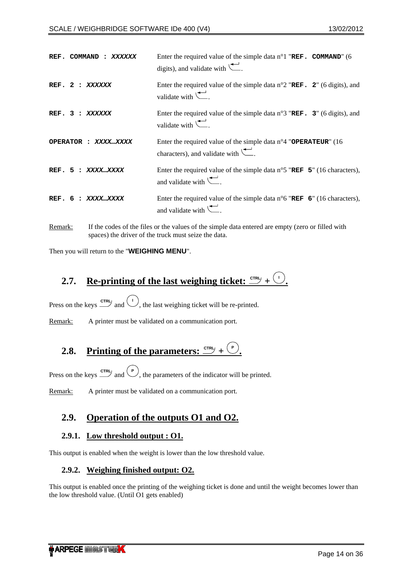<span id="page-13-0"></span>

| REF.                | Enter the required value of the simple data $n^{\circ}1$ "REF. COMMAND" (6                                                                          |
|---------------------|-----------------------------------------------------------------------------------------------------------------------------------------------------|
| COMMAND             | digits), and validate with $\leftarrow$ .                                                                                                           |
| REF. 2              | Enter the required value of the simple data $n^{\circ}2$ "REF. 2" (6 digits), and                                                                   |
| : XXXXXX            | validate with $\leftarrow$ .                                                                                                                        |
| REF. 3              | Enter the required value of the simple data $n^{\circ}3$ "REF. 3" (6 digits), and                                                                   |
| : XXXXXX            | validate with $\leftarrow$ .                                                                                                                        |
| OPERATOR : XXXXXXXX | Enter the required value of the simple data $n^{\circ}4$ "OPERATEUR" (16<br>characters), and validate with $\left(\frac{\bullet}{\bullet}\right)$ . |
| REF. 5 : XXXXXXXX   | Enter the required value of the simple data $n^{\circ}5$ "REF 5" (16 characters),<br>and validate with $\leftarrow$ .                               |
| REF. 6              | Enter the required value of the simple data $n^{\circ}6$ "REF 6" (16 characters),                                                                   |
| : XXXX…XXXX         | and validate with $\leftarrow$ .                                                                                                                    |
|                     |                                                                                                                                                     |

Remark: If the codes of the files or the values of the simple data entered are empty (zero or filled with spaces) the driver of the truck must seize the data.

Then you will return to the "**WEIGHING MENU**".

# **2.7. Re-printing of the last weighing ticket:**  $\frac{CFRI}{E} + \frac{1}{2}$ **.**

Press on the keys  $\frac{crRU}{dt}$  and  $\frac{U}{L}$ , the last weighing ticket will be re-printed.

Remark: A printer must be validated on a communication port.

# **2.8. Printing of the parameters:**  $\frac{cTRL}{L} + \frac{P}{L}$ .

Press on the keys  $\stackrel{\text{cr}}{\sim}$  and  $\stackrel{\text{(P)}}{\sim}$ , the parameters of the indicator will be printed.

Remark: A printer must be validated on a communication port.

# **2.9. Operation of the outputs O1 and O2.**

## **2.9.1. Low threshold output : O1.**

This output is enabled when the weight is lower than the low threshold value.

## **2.9.2. Weighing finished output: O2.**

This output is enabled once the printing of the weighing ticket is done and until the weight becomes lower than the low threshold value. (Until O1 gets enabled)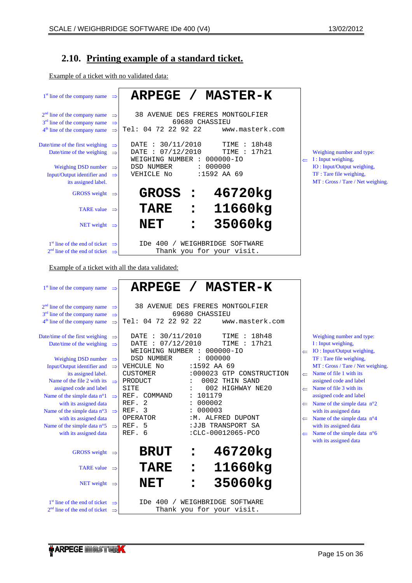# <span id="page-14-0"></span>**2.10. Printing example of a standard ticket.**

Example of a ticket with no validated data:

| $1st$ line of the company name<br>$\Rightarrow$                                                                                                                                               | <b>ARPEGE</b><br><b>MASTER-K</b>                                                                                                                                   |                                                                                                                                                                                   |
|-----------------------------------------------------------------------------------------------------------------------------------------------------------------------------------------------|--------------------------------------------------------------------------------------------------------------------------------------------------------------------|-----------------------------------------------------------------------------------------------------------------------------------------------------------------------------------|
| $2nd$ line of the company name<br>$\Rightarrow$<br>3 <sup>rd</sup> line of the company name<br>$\Rightarrow$<br>4 <sup>th</sup> line of the company name<br>$\Rightarrow$                     | 38 AVENUE DES FRERES MONTGOLFIER<br>69680 CHASSIEU<br>Tel: 04 72 22 92 22<br>www.masterk.com                                                                       |                                                                                                                                                                                   |
| Date/time of the first weighing<br>$\Rightarrow$<br>Date/time of the weighing<br>$\Rightarrow$<br>Weighing DSD number<br>$\Rightarrow$<br>Input/Output identifier and<br>$\Rightarrow$        | : 30/11/2010<br>TIME : 18h48<br>DATE<br>DATE : 07/12/2010<br>TIME : 17h21<br>WEIGHING NUMBER :<br>000000-IO<br>: 000000<br>DSD NUMBER<br>:1592 AA 69<br>VEHICLE No | Weighing number and type:<br>I : Input weighing,<br>IO: Input/Output weighing,<br>TF: Tare file weighing,                                                                         |
| its assigned label.<br>GROSS weight $\Rightarrow$                                                                                                                                             | <b>GROSS</b><br>46720kg                                                                                                                                            | MT: Gross / Tare / Net weighing.                                                                                                                                                  |
| TARE value $\Rightarrow$                                                                                                                                                                      | 11660kg<br><b>TARE</b>                                                                                                                                             |                                                                                                                                                                                   |
| NET weight $\Rightarrow$                                                                                                                                                                      | 35060kg<br><b>NET</b>                                                                                                                                              |                                                                                                                                                                                   |
| $1st$ line of the end of ticket $\Rightarrow$                                                                                                                                                 | IDe 400 /<br>WEIGHBRIDGE SOFTWARE                                                                                                                                  |                                                                                                                                                                                   |
| $2nd$ line of the end of ticket $\Rightarrow$                                                                                                                                                 | Thank you for your visit.                                                                                                                                          |                                                                                                                                                                                   |
| Example of a ticket with all the data validated:                                                                                                                                              |                                                                                                                                                                    |                                                                                                                                                                                   |
| 1 <sup>st</sup> line of the company name<br>$\Rightarrow$                                                                                                                                     | <b>ARPEGE</b><br>$\overline{\phantom{a}}$<br><b>MASTER-K</b>                                                                                                       |                                                                                                                                                                                   |
| 2 <sup>nd</sup> line of the company name<br>$\Rightarrow$<br>3 <sup>rd</sup> line of the company name<br>$\Rightarrow$<br>$4^{\text{th}}$ line of the company name $\Rightarrow$              | 38 AVENUE DES FRERES MONTGOLFIER<br>69680 CHASSIEU<br>Tel: 04 72 22 92 22<br>www.masterk.com                                                                       |                                                                                                                                                                                   |
| Date/time of the first weighing<br>$\Rightarrow$<br>Date/time of the weighing<br>$\Rightarrow$                                                                                                | : 30/11/2010<br>TIME : 18h48<br>DATE<br>: 07/12/2010<br>TIME : 17h21<br>DATE<br>WEIGHING NUMBER : 000000-IO                                                        | Weighing number and type:<br>I : Input weighing,<br>$\leftarrow$ IO : Input/Output weighing,                                                                                      |
| <b>Weighing DSD number</b><br>$\Rightarrow$<br>Input/Output identifier and<br>$\Rightarrow$<br>its assigned label.<br>Name of the file 2 with its<br>$\Rightarrow$<br>assigned code and label | : 000000<br><b>DSD NUMBER</b><br>VEHCULE No<br>:1592 AA 69<br><b>CUSTOMER</b><br>:000023 GTP CONSTRUCTION<br>PRODUCT<br>0002 THIN SAND<br>002 HIGHWAY NE20<br>SITE | TF: Tare file weighing,<br>MT: Gross / Tare / Net weighing.<br>Name of file 1 with its<br>assigned code and label<br>Name of file 3 with its<br>$\leftarrow$                      |
| Name of the simple data n°1<br>$\Rightarrow$<br>with its assigned data<br>Name of the simple data n°3                                                                                         | REF.<br>COMMAND<br>101179<br>2<br>000002<br>REF.<br>REF. 3<br>000003                                                                                               | assigned code and label<br>Name of the simple data $n^{\circ}2$<br>$\leftarrow$                                                                                                   |
| $\Rightarrow$<br>with its assigned data<br>Name of the simple data $n^{\circ}5$<br>$\Rightarrow$<br>with its assigned data                                                                    | OPERATOR<br>: M. ALFRED DUPONT<br>REF.<br>-5<br>:JJB TRANSPORT SA<br>REF. 6<br>:CLC-00012065-PCO                                                                   | with its assigned data<br>Name of the simple data $n^{\circ}4$<br>$\leftarrow$<br>with its assigned data<br>Name of the simple data n°6<br>$\leftarrow$<br>with its assigned data |
| GROSS weight $\Rightarrow$                                                                                                                                                                    | 46720kg<br><b>BRUT</b><br>$\bullet$                                                                                                                                |                                                                                                                                                                                   |
| TARE value $\Rightarrow$                                                                                                                                                                      | 11660kg<br><b>TARE</b><br>$\bullet$                                                                                                                                |                                                                                                                                                                                   |
| NET weight $\Rightarrow$                                                                                                                                                                      | 35060kg<br><b>NET</b>                                                                                                                                              |                                                                                                                                                                                   |
| 1 <sup>st</sup> line of the end of ticket<br>$\Rightarrow$<br>$2nd$ line of the end of ticket $\Rightarrow$                                                                                   | WEIGHBRIDGE SOFTWARE<br>IDe 400<br>Thank you for your visit.                                                                                                       |                                                                                                                                                                                   |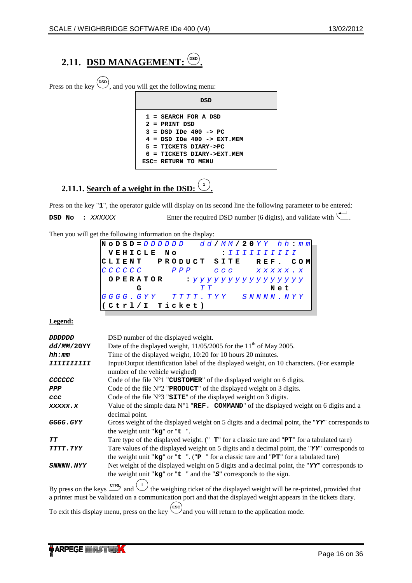# <span id="page-15-0"></span>**2.11. DSD MANAGEMENT:**  $\overset{\text{(BSD)}}{ }$

Press on the key  $\overset{\text{(osp)}}{\leftarrow}$ , and you will get the following menu:

| DSD                                                                                                                                                                                  |
|--------------------------------------------------------------------------------------------------------------------------------------------------------------------------------------|
| $1 =$ SEARCH FOR A DSD<br>$2$ = PRINT DSD<br>$3 =$ DSD IDe 400 -> PC<br>4 = DSD IDe 400 -> EXT.MEM<br>$5 = TICKETS DIARY-SPC$<br>$6$ = TICKETS DIARY->EXT.MEM<br>ESC= RETURN TO MENU |

# **2.11.1. <u>Search of a weight in the DSD:**  $\binom{1}{k}$ </u>

Press on the key "1", the operator guide will display on its second line the following parameter to be entered: **DSD No** : *XXXXXX* Enter the required DSD number (6 digits), and validate with ...

**.**

Then you will get the following information on the display:

|  |  |             |   | $N$ O D S D = $D$ $D$ $D$ $D$ $D$ $D$ |       |  |  |     |                                        |  |  |                              |  |     |  | $d$ $d$ / MM / 20 Y Y h h : m m |
|--|--|-------------|---|---------------------------------------|-------|--|--|-----|----------------------------------------|--|--|------------------------------|--|-----|--|---------------------------------|
|  |  |             |   | VEHICLE NO                            |       |  |  |     |                                        |  |  | : <i>I I I I I I I I I I</i> |  |     |  |                                 |
|  |  |             |   | CLIENT PRODUCT SITE REF. COM          |       |  |  |     |                                        |  |  |                              |  |     |  |                                 |
|  |  | C C C C C C |   |                                       | P P P |  |  |     | CCC XXXXX.X                            |  |  |                              |  |     |  |                                 |
|  |  |             |   | OPERATOR                              |       |  |  |     | : <i>y y y y y y y y y y y y y y y</i> |  |  |                              |  |     |  |                                 |
|  |  |             | G |                                       |       |  |  | ጥ ጥ |                                        |  |  |                              |  | Net |  |                                 |
|  |  |             |   | GGGG.GYY TTTT.TYY SNNNN.NYY           |       |  |  |     |                                        |  |  |                              |  |     |  |                                 |
|  |  |             |   | Ctrl/I Ticket)                        |       |  |  |     |                                        |  |  |                              |  |     |  |                                 |

## **Legend:**

| <b>DDDDDDD</b>    | DSD number of the displayed weight.                                                                                                                |
|-------------------|----------------------------------------------------------------------------------------------------------------------------------------------------|
| dd/MM/20YY        | Date of the displayed weight, $11/05/2005$ for the $11th$ of May 2005.                                                                             |
| hh:mm             | Time of the displayed weight, 10:20 for 10 hours 20 minutes.                                                                                       |
| <i>TTTTTTTTTT</i> | Input/Output identification label of the displayed weight, on 10 characters. (For example                                                          |
|                   | number of the vehicle weighed)                                                                                                                     |
| CCCCCC            | Code of the file $N^{\circ}1$ "CUSTOMER" of the displayed weight on 6 digits.                                                                      |
| PPP               | Code of the file $N^{\circ}2$ " <b>PRODUCT</b> " of the displayed weight on 3 digits.                                                              |
| ccc               | Code of the file $N^{\circ}3$ " $STTE$ " of the displayed weight on 3 digits.                                                                      |
| XXXXX.X           | Value of the simple data $N^{\circ}1$ "REF. COMMAND" of the displayed weight on 6 digits and a                                                     |
|                   | decimal point.                                                                                                                                     |
| GGGG.GYY          | Gross weight of the displayed weight on 5 digits and a decimal point, the " $\mathbf{YY}$ " corresponds to                                         |
|                   | the weight unit " $kg$ " or " $t$ ".                                                                                                               |
| TТ                | Tare type of the displayed weight. $("T"$ for a classic tare and " $PT"$ for a tabulated tare)                                                     |
| <b>TTTT.TYY</b>   | Tare values of the displayed weight on 5 digits and a decimal point, the " $\mathbf{YY}$ " corresponds to                                          |
|                   | the weight unit " $kg$ " or " $t$ ". (" $P$ " for a classic tare and " $PT$ " for a tabulated tare)                                                |
| <b>SNNNN.NYY</b>  | Net weight of the displayed weight on 5 digits and a decimal point, the " $\mathbf{YY}$ " corresponds to                                           |
|                   | the weight unit " $kg$ " or " $t$ " and the " $S$ " corresponds to the sign.                                                                       |
|                   |                                                                                                                                                    |
|                   | By press on the keys $\frac{crR}{dr}$ and $\left(\frac{1}{r}\right)$ the weighing ticket of the displayed weight will be re-printed, provided that |

a printer must be validated on a communication port and that the displayed weight appears in the tickets diary.

To exit this display menu, press on the key  $\bigcup_{n=1}^{\infty}$  and you will return to the application mode.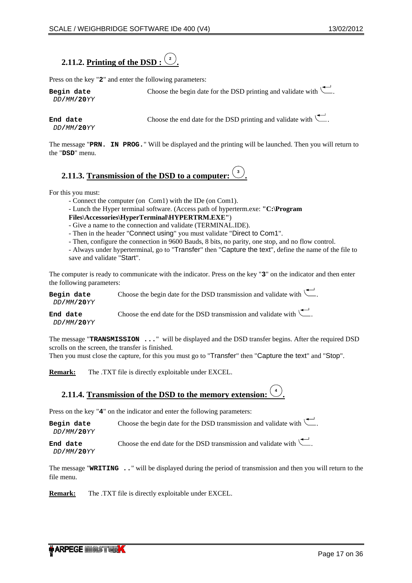# <span id="page-16-0"></span>**2.11.2. Printing of the DSD : <sup>2</sup> .**

Press on the key "**2**" and enter the following parameters:

| Begin date          | Choose the begin date for the DSD printing and validate with $\setminus$ . |
|---------------------|----------------------------------------------------------------------------|
| DD/MM/ <b>20</b> YY |                                                                            |

*DD***/***MM***/20***YY*

**End date** Choose the end date for the DSD printing and validate with  $\leftarrow$ .

The message "**PRN. IN PROG.**" Will be displayed and the printing will be launched. Then you will return to the "**DSD**" menu.

#### **2.11.3. Transmission of the DSD to a computer: <sup>3</sup> .**

For this you must:

- Connect the computer (on Com1) with the IDe (on Com1).

- Lunch the Hyper terminal software. (Access path of hyperterm.exe: **"C:\Program** 

**Files\Accessories\HyperTerminal\HYPERTRM.EXE"**)

- Give a name to the connection and validate (TERMINAL.IDE).

- Then in the header "Connect using" you must validate "Direct to Com1".

- Then, configure the connection in 9600 Bauds, 8 bits, no parity, one stop, and no flow control.

- Always under hyperterminal, go to "Transfer" then "Capture the text", define the name of the file to save and validate "Start".

The computer is ready to communicate with the indicator. Press on the key "**3**" on the indicator and then enter the following parameters:

| Begin date<br>DD/MM/ <b>20</b> YY | Choose the begin date for the DSD transmission and validate with $\setminus$ .            |
|-----------------------------------|-------------------------------------------------------------------------------------------|
| End date                          | Choose the end date for the DSD transmission and validate with $\overline{\phantom{a}}$ . |

*DD***/***MM***/20***YY*

The message "**TRANSMISSION ...**" will be displayed and the DSD transfer begins. After the required DSD scrolls on the screen, the transfer is finished.

Then you must close the capture, for this you must go to "Transfer" then "Capture the text" and "Stop".

**Remark:** The .TXT file is directly exploitable under EXCEL.

**2.11.4. Transmission of the DSD to the memory extension: <sup>4</sup> .**

Press on the key "4" on the indicator and enter the following parameters:

**Begin date** Choose the begin date for the DSD transmission and validate with  $\leftarrow$ . *DD***/***MM***/20***YY* **End date** Choose the end date for the DSD transmission and validate with  $\qquadblacksquare$ 

*DD***/***MM***/20***YY*

The message "**WRITING ..**" will be displayed during the period of transmission and then you will return to the file menu.

**Remark:** The .TXT file is directly exploitable under EXCEL.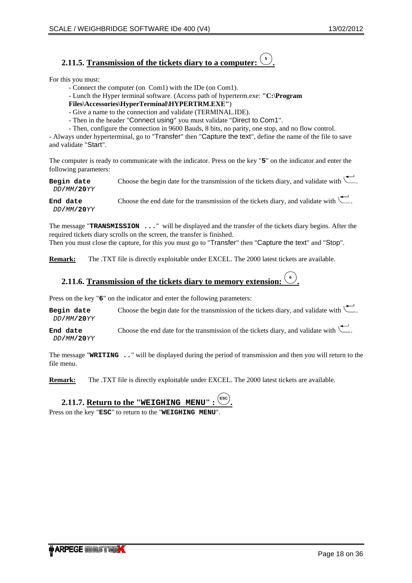#### <span id="page-17-0"></span>**2.11.5. Transmission of the tickets diary to a computer: <sup>5</sup> .**

For this you must:

- Connect the computer (on Com1) with the IDe (on Com1).
- Lunch the Hyper terminal software. (Access path of hyperterm.exe: **"C:\Program**
- **Files\Accessories\HyperTerminal\HYPERTRM.EXE"**)
- Give a name to the connection and validate (TERMINAL.IDE).
- Then in the header "Connect using" you must validate "Direct to Com1".
- Then, configure the connection in 9600 Bauds, 8 bits, no parity, one stop, and no flow control.

- Always under hyperterminal, go to "Transfer" then "Capture the text", define the name of the file to save and validate "Start".

The computer is ready to communicate with the indicator. Press on the key "**5**" on the indicator and enter the following parameters:

**Begin date** Choose the begin date for the transmission of the tickets diary, and validate with  $\leftarrow$ *DD***/***MM***/20***YY*

**End date** Choose the end date for the transmission of the tickets diary, and validate with  $\qquadblacksquare$ *DD***/***MM***/20***YY*

The message "**TRANSMISSION ...**" will be displayed and the transfer of the tickets diary begins. After the required tickets diary scrolls on the screen, the transfer is finished. Then you must close the capture, for this you must go to "Transfer" then "Capture the text" and "Stop".

**Remark:** The .TXT file is directly exploitable under EXCEL. The 2000 latest tickets are available.

#### **2.11.6. Transmission of the tickets diary to memory extension: <sup>6</sup> .**

Press on the key "6" on the indicator and enter the following parameters:

**Begin date** Choose the begin date for the transmission of the tickets diary, and validate with  $\leftarrow$ . *DD***/***MM***/20***YY*

**End date** Choose the end date for the transmission of the tickets diary, and validate with  $\overline{\phantom{a}}$ . *DD***/***MM***/20***YY*

The message "**WRITING ..**" will be displayed during the period of transmission and then you will return to the file menu.

**.**

**Remark:** The .TXT file is directly exploitable under EXCEL. The 2000 latest tickets are available.

# **2.11.7. Return to the "WEIGHING MENU":**

Press on the key "ESC" to return to the "WEIGHING MENU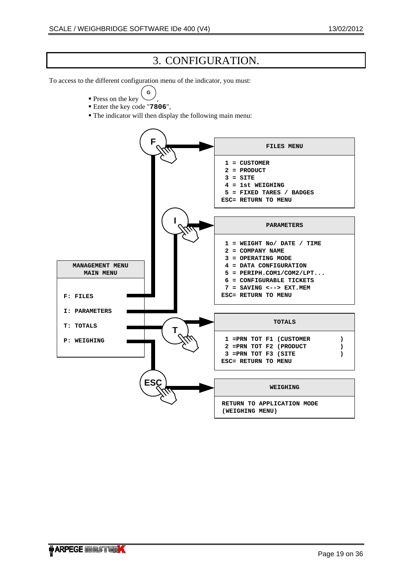# 3. CONFIGURATION.

<span id="page-18-0"></span>To access to the different configuration menu of the indicator, you must:

- **Press on the key G**
- , Enter the key code "**7806**",
- The indicator will then display the following main menu:

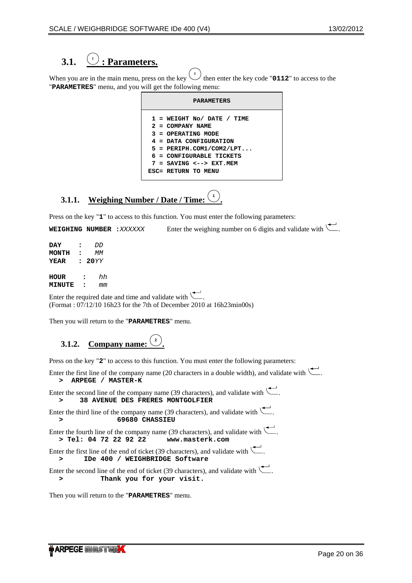### <span id="page-19-0"></span>**3.1. <sup>I</sup> : Parameters.**

When you are in the main menu, press on the key  $\sqrt{ }$  $\overrightarrow{1}$  then enter the key code "**0112**" to access to the "**PARAMETRES**" menu, and you will get the following menu:

|  | <b>PARAMETERS</b>                                                                                                                                                                           |
|--|---------------------------------------------------------------------------------------------------------------------------------------------------------------------------------------------|
|  | $1$ = WEIGHT No/ DATE / TIME<br>$2 = COMPANY NAME$<br>3 = OPERATING MODE<br>4 = DATA CONFIGURATION<br>$5 = PERTPH. COM1/COM2/LPT$<br>6 = CONFIGURABLE TICKETS<br>$7 = SAVING < --> EXT.MEM$ |
|  | ESC= RETURN TO MENU                                                                                                                                                                         |

#### **3.1.1. Weighing Number / Date / Time: <sup>1</sup> .**

Press on the key "1" to access to this function. You must enter the following parameters:

**WEIGHING NUMBER :***XXXXXX* Enter the weighing number on 6 digits and validate with  $\Box$ .

| DAY           | 2                    | ממ   |
|---------------|----------------------|------|
| <b>MONTH</b>  | 2                    | MМ   |
| YEAR          | $\bullet$            | 20YY |
| HOUR          | $\ddot{\phantom{a}}$ | hh   |
| <b>MINUTE</b> | ∙                    | mm   |

Enter the required date and time and validate with  $\setminus$ (Format : 07/12/10 16h23 for the 7th of December 2010 at 16h23min00s)

Then you will return to the "**PARAMETRES**" menu.

#### **3.1.2. Company name: <sup>2</sup> .**

Press on the key "**2**" to access to this function. You must enter the following parameters:

Enter the first line of the company name (20 characters in a double width), and validate with  $\setminus$ **> ARPEGE / MASTER-K**

Enter the second line of the company name (39 characters), and validate with ... **> 38 AVENUE DES FRERES MONTGOLFIER**

Enter the third line of the company name (39 characters), and validate with  $\Box$ . **> 69680 CHASSIEU** 

Enter the fourth line of the company name (39 characters), and validate with  $\setminus$ **> Tel: 04 72 22 92 22 www.masterk.com**

Enter the first line of the end of ticket (39 characters), and validate with  $\setminus$ **> IDe 400 / WEIGHBRIDGE Software** 

Enter the second line of the end of ticket (39 characters), and validate with  $\setminus$ . **> Thank you for your visit.**

Then you will return to the "**PARAMETRES**" menu.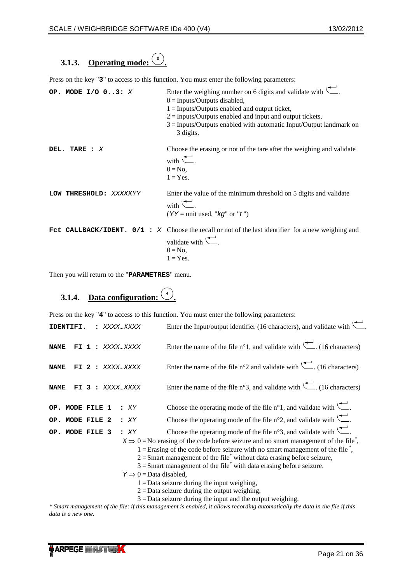# <span id="page-20-0"></span>**3.1.3. Operating mode: <sup>3</sup> .**

Press on the key "**3**" to access to this function. You must enter the following parameters:

| OP. MODE $I/O$ 03: X   | Enter the weighing number on 6 digits and validate with $\left(\frac{1}{2}\right)$ .<br>$0 =$ Inputs/Outputs disabled,<br>$1 =$ Inputs/Outputs enabled and output ticket,<br>$2 =$ Inputs/Outputs enabled and input and output tickets,<br>$3 =$ Inputs/Outputs enabled with automatic Input/Output landmark on<br>3 digits. |
|------------------------|------------------------------------------------------------------------------------------------------------------------------------------------------------------------------------------------------------------------------------------------------------------------------------------------------------------------------|
| DEL. TARE : $X$        | Choose the erasing or not of the tare after the weighing and validate<br>with $\leftarrow$ .<br>$0 = No$ ,<br>$1 = Yes.$                                                                                                                                                                                                     |
| LOW THRESHOLD: XXXXXYY | Enter the value of the minimum threshold on 5 digits and validate<br>with $\leftarrow$<br>$(YY = unit used, "kg" or "t")$                                                                                                                                                                                                    |
|                        | FCt CALLBACK/IDENT. $0/1$ : X Choose the recall or not of the last identifier for a new weighing and<br>validate with $\leftarrow$ .<br>$0 = No.$<br>$1 = Yes.$                                                                                                                                                              |

Then you will return to the "**PARAMETRES**" menu.

### **3.1.4. Data configuration: <sup>4</sup> .**

Press on the key " $4$ " to access to this function. You must enter the following parameters:

| IDENTIFI.          |              |         | XXXXXXXX |     |                                        | Enter the Input/output identifier (16 characters), and validate with $\setminus$                                               |
|--------------------|--------------|---------|----------|-----|----------------------------------------|--------------------------------------------------------------------------------------------------------------------------------|
| <b>NAME</b><br>FI. | $\mathbf{1}$ | $\cdot$ | XXXXXXXX |     |                                        | Enter the name of the file $n^{\circ}1$ , and validate with $\left(\frac{1}{n}\right)$ . (16 characters)                       |
| <b>NAME</b><br>FI. | $\mathbf{2}$ |         | XXXXXXXX |     |                                        | Enter the name of the file n°2 and validate with $\overline{\phantom{a}}$ . (16 characters)                                    |
| <b>NAME</b><br>FI  | 3            |         | XXXXXXXX |     |                                        | Enter the name of the file n°3, and validate with $\left(\frac{1}{2}\right)$ . (16 characters)                                 |
| OP. MODE FILE 1    |              |         |          | :XY |                                        | Choose the operating mode of the file $n^{\circ}1$ , and validate with $\overline{\phantom{a}}$ .                              |
| OP. MODE FILE 2    |              |         |          | :XY |                                        | Choose the operating mode of the file $n^{\circ}2$ , and validate with $\overline{\phantom{a}}$ .                              |
| OP. MODE FILE 3    |              |         |          | :XY |                                        | Choose the operating mode of the file $n^{\circ}$ , and validate with $\overline{\phantom{a}}$ .                               |
|                    |              |         |          |     |                                        | $X \Rightarrow 0 =$ No erasing of the code before seizure and no smart management of the file <sup>*</sup> ,                   |
|                    |              |         |          |     |                                        | $1 =$ Erasing of the code before seizure with no smart management of the file <sup>*</sup> ,                                   |
|                    |              |         |          |     |                                        | $2 =$ Smart management of the file <sup>*</sup> without data erasing before seizure,                                           |
|                    |              |         |          |     |                                        | $3 =$ Smart management of the file <sup>*</sup> with data erasing before seizure.                                              |
|                    |              |         |          |     | $Y \implies 0 = \text{Data disabled},$ |                                                                                                                                |
|                    |              |         |          |     |                                        | $1 = Data$ seizure during the input weighing,                                                                                  |
|                    |              |         |          |     |                                        | $2 =$ Data seizure during the output weighing,                                                                                 |
|                    |              |         |          |     |                                        | $3 =$ Data seizure during the input and the output weighing.                                                                   |
|                    |              |         |          |     |                                        | $*$ Smart management of the file: if this management is enghled it allows recording automatically the data in the file if this |

*\* Smart management of the file: if this management is enabled, it allows recording automatically the data in the file if this data is a new one.*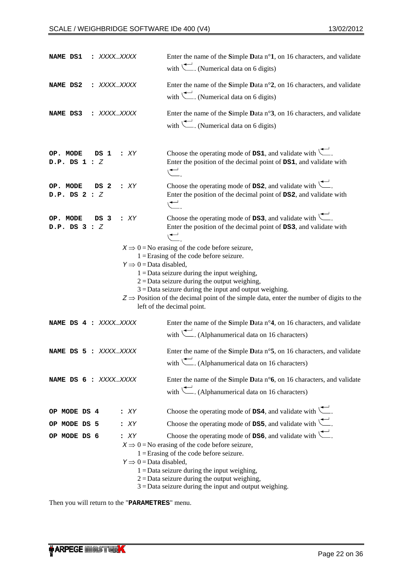| NAME DS1                      | : XXXXXXXX |                                               | Enter the name of the Simple Data $n^{\circ}1$ , on 16 characters, and validate<br>with $\left(\frac{1}{\sqrt{2}}\right)$ . (Numerical data on 6 digits)                                                                                                                                                                                                                                                                                                                                                          |
|-------------------------------|------------|-----------------------------------------------|-------------------------------------------------------------------------------------------------------------------------------------------------------------------------------------------------------------------------------------------------------------------------------------------------------------------------------------------------------------------------------------------------------------------------------------------------------------------------------------------------------------------|
| NAME DS2                      | : XXXXXXXX |                                               | Enter the name of the Simple Data n°2, on 16 characters, and validate<br>with $\left(\frac{1}{2}\right)$ . (Numerical data on 6 digits)                                                                                                                                                                                                                                                                                                                                                                           |
| NAME DS3                      | : XXXXXXXX |                                               | Enter the name of the Simple Data n°3, on 16 characters, and validate<br>with $\left(\frac{1}{\sqrt{1}}\right)$ . (Numerical data on 6 digits)                                                                                                                                                                                                                                                                                                                                                                    |
| OP. MODE<br>$D.P.$ DS $1 : Z$ | DS 1       | : <i>XY</i>                                   | Choose the operating mode of $DS1$ , and validate with $\overline{\phantom{a}}$ .<br>Enter the position of the decimal point of DS1, and validate with<br>$\overline{\phantom{a}}$                                                                                                                                                                                                                                                                                                                                |
| OP. MODE<br>$D.P.$ DS $2:Z$   | DS 2       | :XY                                           | Choose the operating mode of $DS2$ , and validate with $\overline{\phantom{a}}$ .<br>Enter the position of the decimal point of DS2, and validate with<br>$\begin{array}{c} \begin{array}{c} \begin{array}{c} \end{array} \end{array}$                                                                                                                                                                                                                                                                            |
| OP. MODE<br>$D.P.$ DS $3:Z$   | DS 3       | : XY                                          | Choose the operating mode of $DS3$ , and validate with $\overline{\phantom{a}}$ .<br>Enter the position of the decimal point of DS3, and validate with<br>$\mapsto$                                                                                                                                                                                                                                                                                                                                               |
|                               |            | $Y \implies 0 = \text{Data disabled},$        | $X \Rightarrow 0 =$ No erasing of the code before seizure,<br>$1 =$ Erasing of the code before seizure.<br>$1 =$ Data seizure during the input weighing,<br>$2 =$ Data seizure during the output weighing,<br>$3 =$ Data seizure during the input and output weighing.<br>$z \Rightarrow$ Position of the decimal point of the simple data, enter the number of digits to the<br>left of the decimal point.                                                                                                       |
| NAME DS 4 : XXXXXXXX          |            |                                               | Enter the name of the Simple Data $n^{\circ}4$ , on 16 characters, and validate<br>with $\leftarrow$ . (Alphanumerical data on 16 characters)                                                                                                                                                                                                                                                                                                                                                                     |
| NAME DS 5 : XXXXXXXX          |            |                                               | Enter the name of the Simple Data $n^{\circ}$ 5, on 16 characters, and validate<br>with $\left(\frac{1}{\sqrt{1-\frac{1}{\sqrt{1-\frac{1}{\sqrt{1-\frac{1}{\sqrt{1-\frac{1}{\sqrt{1-\frac{1}{\sqrt{1-\frac{1}{\sqrt{1-\frac{1}{\sqrt{1-\frac{1}{\sqrt{1-\frac{1}{\sqrt{1-\frac{1}{\sqrt{1-\frac{1}{\sqrt{1-\frac{1}{\sqrt{1-\frac{1}{\sqrt{1-\frac{1}{\sqrt{1-\frac{1}{\sqrt{1-\frac{1}{\sqrt{1-\frac{1}{\sqrt{1-\frac{1}{\sqrt{1-\frac{1}{\sqrt{1-\frac{1}{\sqrt{1-\frac{1}{\sqrt{1-\frac{1}{\sqrt{1-\frac{1}{\$ |
| NAME DS 6 : XXXXXXXX          |            |                                               | Enter the name of the Simple Data $n^{\circ}$ 6, on 16 characters, and validate<br>with $\leftarrow$ . (Alphanumerical data on 16 characters)                                                                                                                                                                                                                                                                                                                                                                     |
| OP MODE DS 4                  |            | : <i>XY</i>                                   | Choose the operating mode of $DS4$ , and validate with $\overline{\phantom{a}}$ .                                                                                                                                                                                                                                                                                                                                                                                                                                 |
| OP MODE DS 5                  |            | :XY                                           | Choose the operating mode of $DS5$ , and validate with $\overline{\phantom{a}}$ .                                                                                                                                                                                                                                                                                                                                                                                                                                 |
| OP MODE DS 6                  |            | :XY<br>$Y \implies 0 = \text{Data disabled},$ | Choose the operating mode of $DS6$ , and validate with $\leftarrow$ .<br>$X \Rightarrow 0 =$ No erasing of the code before seizure,<br>$1 =$ Erasing of the code before seizure.<br>$1 =$ Data seizure during the input weighing,<br>$2 =$ Data seizure during the output weighing,<br>$3 =$ Data seizure during the input and output weighing.                                                                                                                                                                   |

Then you will return to the "**PARAMETRES**" menu.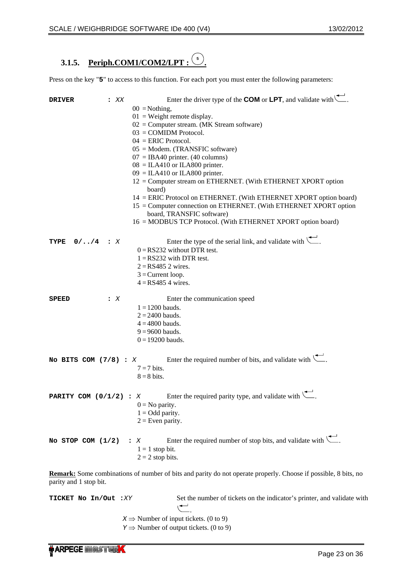### <span id="page-22-0"></span>**3.1.5. Periph.COM1/COM2/LPT : <sup>5</sup> .**

Press on the key "5" to access to this function. For each port you must enter the following parameters:

| <b>DRIVER</b>            | $\mathbf{X} \times$ | Enter the driver type of the <b>COM</b> or <b>LPT</b> , and validate with $\left\lfloor \frac{1}{n} \right\rfloor$ .<br>$00 = \text{Nothing},$<br>$01$ = Weight remote display.<br>$02 =$ Computer stream. (MK Stream software)<br>$03 =$ COMIDM Protocol.<br>$04 = ERIC$ Protocol.<br>$05$ = Modem. (TRANSFIC software)<br>$07 = IBA40$ printer. (40 columns)<br>$08 = ILA410$ or ILA800 printer.<br>$09 = ILA410$ or ILA800 printer.<br>12 = Computer stream on ETHERNET. (With ETHERNET XPORT option<br>board)<br>14 = ERIC Protocol on ETHERNET. (With ETHERNET XPORT option board)<br>15 = Computer connection on ETHERNET. (With ETHERNET XPORT option<br>board, TRANSFIC software)<br>16 = MODBUS TCP Protocol. (With ETHERNET XPORT option board) |
|--------------------------|---------------------|-----------------------------------------------------------------------------------------------------------------------------------------------------------------------------------------------------------------------------------------------------------------------------------------------------------------------------------------------------------------------------------------------------------------------------------------------------------------------------------------------------------------------------------------------------------------------------------------------------------------------------------------------------------------------------------------------------------------------------------------------------------|
| $0/\ldots/4$ : X<br>TYPE |                     | Enter the type of the serial link, and validate with $\left\langle \right\rangle$ .<br>$0 = RS232$ without DTR test.<br>$1 = RS232$ with DTR test.<br>$2 = RS4852$ wires.<br>$3 =$ Current loop.<br>$4 = RS4854$ wires.                                                                                                                                                                                                                                                                                                                                                                                                                                                                                                                                   |
| <b>SPEED</b>             | $\mathbf{X}$        | Enter the communication speed<br>$1 = 1200$ bauds.<br>$2 = 2400$ bauds.<br>$4 = 4800$ bauds.<br>$9 = 9600$ bauds.<br>$0 = 19200$ bauds.                                                                                                                                                                                                                                                                                                                                                                                                                                                                                                                                                                                                                   |
| No BITS COM $(7/8) : X$  |                     | Enter the required number of bits, and validate with $\setminus$ .<br>$7 = 7$ bits.<br>$8 = 8$ bits.                                                                                                                                                                                                                                                                                                                                                                                                                                                                                                                                                                                                                                                      |
| PARITY COM $(0/1/2)$ : X |                     | Enter the required parity type, and validate with $\setminus$ .<br>$0 = No$ parity.<br>$1 = Odd$ parity.<br>$2$ = Even parity.                                                                                                                                                                                                                                                                                                                                                                                                                                                                                                                                                                                                                            |
| No STOP COM $(1/2)$      | $\mathbf{X}$        | Enter the required number of stop bits, and validate with $\overline{\phantom{a}}$ .<br>$1 = 1$ stop bit.<br>$2 = 2$ stop bits.                                                                                                                                                                                                                                                                                                                                                                                                                                                                                                                                                                                                                           |

**Remark:** Some combinations of number of bits and parity do not operate properly. Choose if possible, 8 bits, no parity and 1 stop bit.

**TICKET No In/Out :***XY* Set the number of tickets on the indicator's printer, and validate with .

 $X \Rightarrow$  Number of input tickets. (0 to 9)

*Y*  $\Rightarrow$  Number of output tickets. (0 to 9)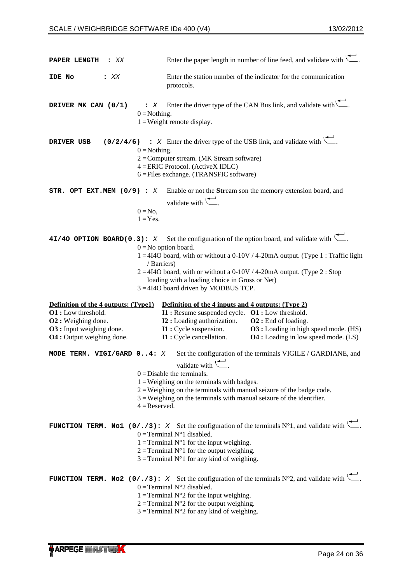| PAPER LENGTH<br>$\mathbf{X} \times \mathbf{X}$                        | Enter the paper length in number of line feed, and validate with $\left(\frac{1}{\sqrt{1-\epsilon}}\right)$ .                                                                                                                                                                                                                                                                     |  |
|-----------------------------------------------------------------------|-----------------------------------------------------------------------------------------------------------------------------------------------------------------------------------------------------------------------------------------------------------------------------------------------------------------------------------------------------------------------------------|--|
| IDE No<br>$\mathbf{X} \times$                                         | Enter the station number of the indicator for the communication<br>protocols.                                                                                                                                                                                                                                                                                                     |  |
| DRIVER MK CAN (0/1)                                                   | Enter the driver type of the CAN Bus link, and validate with.<br>$\mathbf{\ddot{z}}$ X<br>$0 = \text{Nothing}.$<br>$1 = Weight$ remote display.                                                                                                                                                                                                                                   |  |
| (0/2/4/6)<br>DRIVER USB                                               | $\therefore$ X Enter the driver type of the USB link, and validate with $\leftarrow$ .<br>$0 = \text{Nothing}.$<br>$2 =$ Computer stream. (MK Stream software)<br>4 = ERIC Protocol. (ActiveX IDLC)<br>6 = Files exchange. (TRANSFIC software)                                                                                                                                    |  |
| STR. OPT EXT.MEM $(0/9)$ : X                                          | Enable or not the Stream son the memory extension board, and<br>validate with $\leftarrow$ .<br>$0 = No$ ,<br>$1 = Yes.$                                                                                                                                                                                                                                                          |  |
| $4I/4O$ OPTION BOARD(0.3): X                                          | Set the configuration of the option board, and validate with $\setminus$ .<br>$0 = No$ option board.<br>$1 = 4I4O$ board, with or without a 0-10V / 4-20mA output. (Type 1: Traffic light<br>/ Barriers)<br>$2 = 4140$ board, with or without a 0-10V / 4-20mA output. (Type 2 : Stop<br>loading with a loading choice in Gross or Net)<br>$3 = 4I4O$ board driven by MODBUS TCP. |  |
| Definition of the 4 outputs: (Type1)                                  | Definition of the 4 inputs and 4 outputs: (Type 2)                                                                                                                                                                                                                                                                                                                                |  |
| O1 : Low threshold.                                                   | I1 : Resume suspended cycle. O1 : Low threshold.                                                                                                                                                                                                                                                                                                                                  |  |
| <b>O2</b> : Weighing done.                                            | <b>I2</b> : Loading authorization.<br>O <sub>2</sub> : End of loading.                                                                                                                                                                                                                                                                                                            |  |
| <b>O3</b> : Input weighing done.<br><b>O4</b> : Output weighing done. | I1 : Cycle suspension.<br><b>O3</b> : Loading in high speed mode. (HS)<br>I1 : Cycle cancellation.<br><b>O4</b> : Loading in low speed mode. (LS)                                                                                                                                                                                                                                 |  |
| MODE TERM. VIGI/GARD 04: X                                            | Set the configuration of the terminals VIGILE / GARDIANE, and                                                                                                                                                                                                                                                                                                                     |  |
|                                                                       | validate with $\leftarrow$ .<br>$0 = Disable$ the terminals.<br>$1 = Weighting on the terminals with badges.$<br>$2 =$ Weighing on the terminals with manual seizure of the badge code.<br>$3$ = Weighing on the terminals with manual seizure of the identifier.<br>$4 =$ Reserved.                                                                                              |  |
|                                                                       | <b>FUNCTION TERM.</b> No1 (0/./3): X Set the configuration of the terminals $N^{\circ}1$ , and validate with $\Box$ .<br>$0 =$ Terminal N°1 disabled.<br>1 = Terminal $N^{\circ}$ 1 for the input weighing.<br>$2$ = Terminal N°1 for the output weighing.<br>$3 =$ Terminal N°1 for any kind of weighing.                                                                        |  |
|                                                                       | <b>FUNCTION TERM.</b> No2 (0/./3): X Set the configuration of the terminals $N^{\circ}$ 2, and validate with<br>$0 = Terminal N°2$ disabled.<br>1 = Terminal $N^{\circ}2$ for the input weighing.<br>$2$ = Terminal N°2 for the output weighing.<br>$3 =$ Terminal N°2 for any kind of weighing.                                                                                  |  |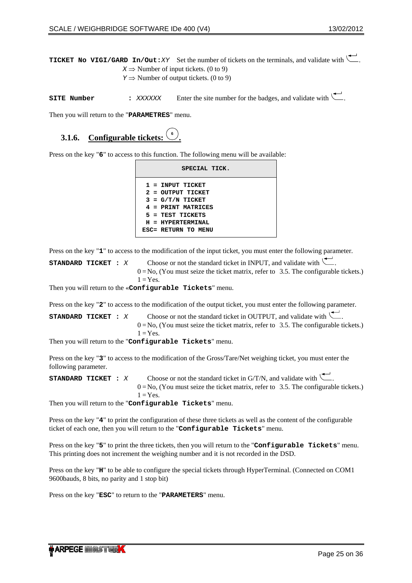<span id="page-24-0"></span>**TICKET NO VIGI/GARD In/Out:***XY* Set the number of tickets on the terminals, and validate with  $X \Rightarrow$  Number of input tickets. (0 to 9)

*Y*  $\Rightarrow$  Number of output tickets. (0 to 9)

**SITE Number :** *XXXXXX* Enter the site number for the badges, and validate with ...

Then you will return to the "**PARAMETRES**" menu.

#### **3.1.6. Configurable tickets: <sup>6</sup> .**

Press on the key "6" to access to this function. The following menu will be available:

| SPECIAL TICK.       |
|---------------------|
| $1$ = INPUT TICKET  |
| 2 = OUTPUT TICKET   |
| $3 = G/T/N$ TICKET  |
| 4 = PRINT MATRICES  |
| $5$ = TEST TICKETS  |
| H = HYPERTERMINAL   |
| ESC= RETURN TO MENU |

Press on the key "**1**" to access to the modification of the input ticket, you must enter the following parameter.

| STANDARD TICKET : X |  | Choose or not the standard ticket in INPUT, and validate with $\setminus$ .            |
|---------------------|--|----------------------------------------------------------------------------------------|
|                     |  | $0 = No$ , (You must seize the ticket matrix, refer to 3.5. The configurable tickets.) |
|                     |  | $1 = Yes.$                                                                             |

Then you will return to the «**Configurable Tickets**" menu.

Press on the key "**2**" to access to the modification of the output ticket, you must enter the following parameter.

**STANDARD TICKET :** *X* Choose or not the standard ticket in OUTPUT, and validate with  $\sum$  $0 = No$ , (You must seize the ticket matrix, refer to [3.5](#page-31-1). [The configurable tickets.](#page-31-1))  $1 = Yes.$ 

Then you will return to the "**Configurable Tickets**" menu.

Press on the key "**3**" to access to the modification of the Gross/Tare/Net weighing ticket, you must enter the following parameter.

**STANDARD TICKET :** *X* Choose or not the standard ticket in G/T/N, and validate with  $0 = No$ , (You must seize the ticket matrix, refer to [3.5](#page-31-1). [The configurable tickets.](#page-31-1))  $1 = Yes.$ 

Then you will return to the "**Configurable Tickets**" menu.

Press on the key "**4**" to print the configuration of these three tickets as well as the content of the configurable ticket of each one, then you will return to the "**Configurable Tickets**" menu.

Press on the key "**5**" to print the three tickets, then you will return to the "**Configurable Tickets**" menu. This printing does not increment the weighing number and it is not recorded in the DSD.

Press on the key "**H**" to be able to configure the special tickets through HyperTerminal. (Connected on COM1 9600bauds, 8 bits, no parity and 1 stop bit)

Press on the key "**ESC**" to return to the "**PARAMETERS**" menu.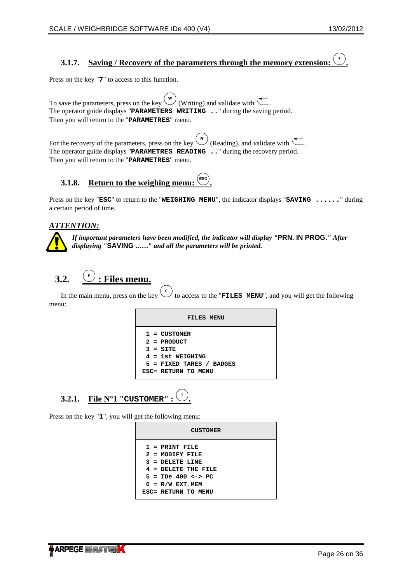#### <span id="page-25-0"></span>**3.1.7. Saving / Recovery of the parameters through the memory extension: <sup>7</sup> .**

Press on the key "**7**" to access to this function.

To save the parameters, press on the key  $\overline{\mathcal{L}}$  (Writing) and validate with  $\overline{\mathcal{L}}$ The operator guide displays "**PARAMETERS WRITING ..**" during the saving period. Then you will return to the "**PARAMETRES**" menu.

For the recovery of the parameters, press on the key  $\left(\frac{R}{2}\right)$  (Reading), and validate with  $\left(\frac{R}{2}\right)$ . The operator guide displays "**PARAMETRES READING ..**" during the recovery period. Then you will return to the "**PARAMETRES**" menu.

#### **3.1.8. Return to the weighing menu: .**

Press on the key "**ESC**" to return to the "**WEIGHING MENU**", the indicator displays "**SAVING ......**" during a certain period of time.

## *ATTENTION:*

*If important parameters have been modified, the indicator will display "***PRN. IN PROG.***" After displaying "***SAVING ..….***" and all the parameters will be printed.* 

### **3.2. <sup>F</sup> Files menu.**

In the main menu, press on the key to access to the "**FILES MENU**", and you will get the following menu:

| FILES MENU                                                                                        |
|---------------------------------------------------------------------------------------------------|
| $1 = CUSTOMER$<br>$2 =$ PRODUCT<br>$3 = STTE$<br>$4 = 1st WETGHING$<br>$5$ = FIXED TARES / BADGES |
| ESC= RETURN TO MENU                                                                               |

### **3.2.1. File N°1 "CUSTOMER" : <sup>1</sup> .**

<span id="page-25-1"></span>Press on the key "**1**", you will get the following menu:

| <b>CUSTOMER</b>                             |  |  |  |
|---------------------------------------------|--|--|--|
| $1$ = PRINT FILE                            |  |  |  |
| 2 = MODIFY FILE                             |  |  |  |
| $3$ = DELETE LINE                           |  |  |  |
| $4$ = DELETE THE FILE                       |  |  |  |
| $5 =$ <b>TPe</b> 400 $\leftarrow$ <b>PC</b> |  |  |  |
| $6 = R/W EXT.MEM$                           |  |  |  |
| ESC= RETURN TO MENU                         |  |  |  |

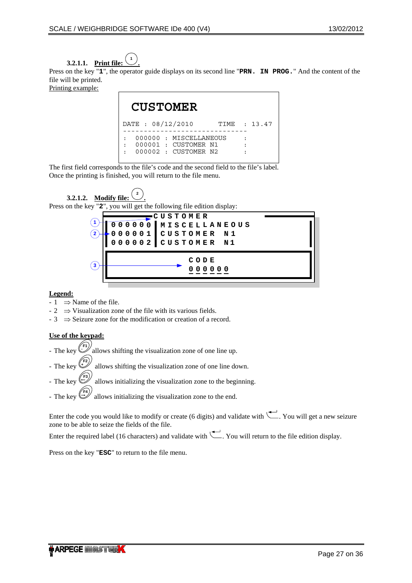

<span id="page-26-0"></span>Press on the key "1", the operator guide displays on its second line "**PRN. IN PROG.**" And the content of the file will be printed.

Printing example:

|  | <b>CUSTOMER</b>   |                                                                         |  |              |
|--|-------------------|-------------------------------------------------------------------------|--|--------------|
|  | DATE : 08/12/2010 |                                                                         |  | TIME : 13.47 |
|  |                   | 000000: MISCELLANEOUS<br>000001 : CUSTOMER N1<br>$000002$ : CUSTOMER N2 |  |              |

The first field corresponds to the file's code and the second field to the file's label. Once the printing is finished, you will return to the file menu.

**3.2.1.2. Modify file: <sup>2</sup> .** Press on the key "**2**", you will get the following file edition display:



## **Legend:**

- $-1 \implies$  Name of the file.
- $-2 \implies$  Visualization zone of the file with its various fields.
- $-3 \implies$  Seizure zone for the modification or creation of a record.

## **Use of the keypad:**

- $-$  The key  $\langle$ **-** allows shifting the visualization zone of one line up.
- The key allows shifting the visualization zone of one line down.
- The key allows initializing the visualization zone to the beginning.
- The key allows initializing the visualization zone to the end.

Enter the code you would like to modify or create (6 digits) and validate with  $\left(\frac{1}{\sqrt{1-\epsilon}}\right)$ . You will get a new seizure zone to be able to seize the fields of the file.

Enter the required label (16 characters) and validate with  $\Box$ . You will return to the file edition display.

Press on the key "**ESC**" to return to the file menu.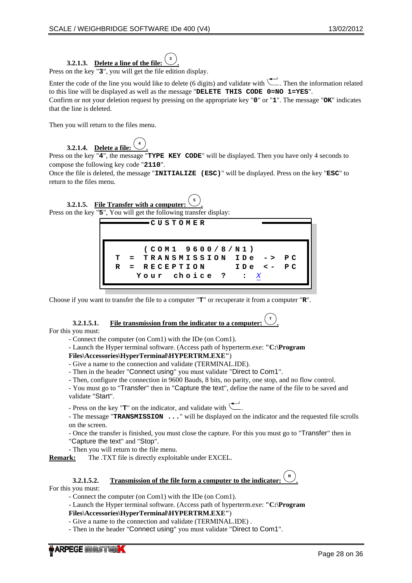# **3.2.1.3. Delete a line of the file:**

<span id="page-27-0"></span>Press on the key "**3**", you will get the file edition display.

Enter the code of the line you would like to delete (6 digits) and validate with  $\Box$ . Then the information related to this line will be displayed as well as the message "**DELETE THIS CODE 0=NO 1=YES**". Confirm or not your deletion request by pressing on the appropriate key "**0**" or "**1**". The message "**OK**" indicates that the line is deleted.

**.**

Then you will return to the files menu.

### **3.2.1.4. Delete a file: <sup>4</sup> .**

Press on the key "**4**", the message "**TYPE KEY CODE**" will be displayed. Then you have only 4 seconds to compose the following key code "**2110**".

Once the file is deleted, the message "**INITIALIZE (ESC)**" will be displayed. Press on the key "**ESC**" to return to the files menu.

**3.2.1.5.** File Transfer with a computer **.** Press on the key "**5**", You will get the following transfer display:

**) 9600 /8/N1 e -> e <-** *X* **C P C P**  $\texttt{TRANSMISSION}$  **ID TION RECEP hoice c I** D A **? : T = R = Y our (COM1 CUST O M E R**

Choose if you want to transfer the file to a computer "**T**" or recuperate it from a computer "**R**".

## **3.2.1.5.1.** File transmission from the indicator to a computer:

For this you must:

- Connect the computer (on Com1) with the IDe (on Com1).

- Launch the Hyper terminal software. (Access path of hyperterm.exe: **"C:\Program** 

### **Files\Accessories\HyperTerminal\HYPERTRM.EXE"**)

- Give a name to the connection and validate (TERMINAL.IDE).
- Then in the header "Connect using" you must validate "Direct to Com1".
- Then, configure the connection in 9600 Bauds, 8 bits, no parity, one stop, and no flow control.

- You must go to "Transfer" then in "Capture the text", define the name of the file to be saved and validate "Start".

**.**

**.**

- Press on the key " $\mathbf{T}$ " on the indicator, and validate with  $\mathbf{\nabla}$ 

- The message "**TRANSMISSION ...**" will be displayed on the indicator and the requested file scrolls on the screen.

- Once the transfer is finished, you must close the capture. For this you must go to "Transfer" then in "Capture the text" and "Stop".

- Then you will return to the file menu.

**Remark:** The .TXT file is directly exploitable under EXCEL.

# **3.2.1.5.2. Transmission of the file form a computer to the indicator:**

For this you must:

- Connect the computer (on Com1) with the IDe (on Com1).

- Launch the Hyper terminal software. (Access path of hyperterm.exe: **"C:\Program** 

**Files\Accessories\HyperTerminal\HYPERTRM.EXE"**)

- Give a name to the connection and validate (TERMINAL.IDE) .
- Then in the header "Connect using" you must validate "Direct to Com1".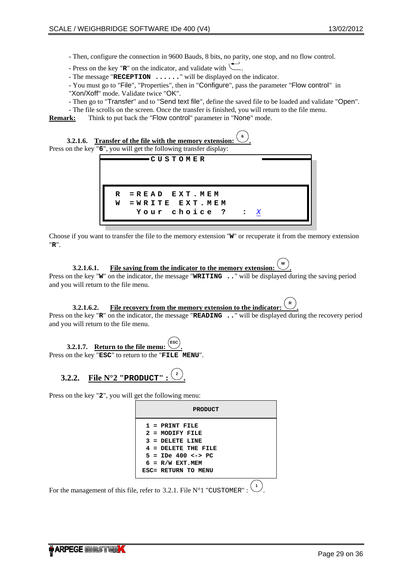- <span id="page-28-0"></span>- Then, configure the connection in 9600 Bauds, 8 bits, no parity, one stop, and no flow control.
- Press on the key " $\mathbf{R}$ " on the indicator, and validate with  $\mathbf{R}$ .
- The message "**RECEPTION ......**" will be displayed on the indicator.
- You must go to "File", "Properties", then in "Configure", pass the parameter "Flow control" in "Xon/Xoff" mode. Validate twice "OK".
- Then go to "Transfer" and to "Send text file", define the saved file to be loaded and validate "Open".
- The file scrolls on the screen. Once the transfer is finished, you will return to the file menu.
- **Remark:** Think to put back the "Flow control" parameter in "None" mode.

**3.2.1.6. Transfer of the file with the memory extension: <sup>6</sup> .** Press on the key "6", you will get the following transfer display:



Choose if you want to transfer the file to the memory extension "**W**" or recuperate it from the memory extension "**R**".

**3.2.1.6.1. File saving from the indicator to the memory extension .** Press on the key "**W**" on the indicator, the message "**WRITING** ..." will be displayed during the saving period and you will return to the file menu.

#### **3.2.1.6.2. File recovery from the memory extension to the indicator: .**

**.**

Press on the key "**R**" on the indicator, the message "**READING** .." will be displayed during the recovery period and you will return to the file menu.



Press on the key "**ESC**" to return to the "**FILE MENU**".

# **3.2.2. File N°2 "PRODUCT"**:  $\frac{2}{3}$

Press on the key "**2**", you will get the following menu:

| <b>PRODUCT</b>          |
|-------------------------|
| $1$ = PRINT FILE        |
| $2$ = MODIFY FILE       |
| $3$ = DELETE LINE       |
| $4$ = DELETE THE FILE   |
| $5 = IDe 400 \le -> PC$ |
| $6 = R/W EXT.MEM$       |
| ESC= RETURN TO MENU     |
|                         |

For the management of this file, refer to [3.2.1](#page-25-1). File  $N^{\circ}1$  "[CUSTOMER](#page-25-1)[" :](#page-25-1)  $(1)$ .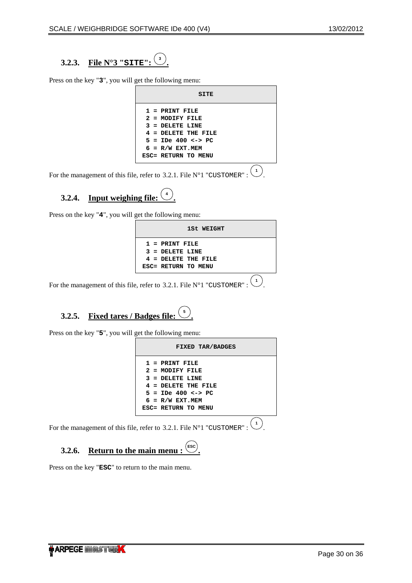<span id="page-29-0"></span>**3.2.3. File N°3 "SITE": <sup>3</sup> .**

Press on the key "**3**", you will get the following menu:

| SITE                                   |  |
|----------------------------------------|--|
| $1$ = PRINT FILE                       |  |
| 2 = MODIFY FILE                        |  |
| $3 =$ DELETE LINE                      |  |
| $4$ = DELETE THE FILE                  |  |
| $5 =$ <b>IDe</b> 400 $\leftarrow$ > PC |  |
| $6 = R/W EXT.MEM$                      |  |
| ESC= RETURN TO MENU                    |  |
|                                        |  |

For the management of this file, refer to [3.2.1](#page-25-1). File  $N^{\circ}1$  "[CUSTOMER](#page-25-1)[" :](#page-25-1)  $(1)$ .

### **3.2.4. Input weighing file:**  $\frac{4}{5}$ **.**

Press on the key "**4**", you will get the following menu:

| 1St WEIGHT                                                                            |  |
|---------------------------------------------------------------------------------------|--|
| $1$ = PRINT FILE<br>$3 =$ DELETE LINE<br>$4$ = DELETE THE FILE<br>ESC= RETURN TO MENU |  |
|                                                                                       |  |

For the management of this file, refer to [3.2.1](#page-25-1). File  $N^{\circ}1$  "[CUSTOMER](#page-25-1)[" :](#page-25-1)  $(1)$ .

#### **3.2.5. Fixed tares / Badges file:**  $\left(\frac{5}{2}\right)$ **.**

Press on the key "**5**", you will get the following menu:

| FIXED TAR/BADGES      |  |
|-----------------------|--|
| $1$ = PRINT FILE      |  |
| 2 = MODIFY FILE       |  |
| $3 =$ DELETE LINE     |  |
| $4$ = DELETE THE FILE |  |
| $5 =$ IDe 400 <-> PC  |  |
| $6 = R/W EXT.MEM$     |  |
| ESC= RETURN TO MENU   |  |
|                       |  |

For the management of this file, refer to [3.2.1](#page-25-1). File  $N^{\circ}1$  "[CUSTOMER](#page-25-1)[" :](#page-25-1)  $(1)$ .

#### **3.2.6. Return to the main menu :**  $\left(\frac{\text{esc}}{2}\right)$ **.**

Press on the key "**ESC**" to return to the main menu.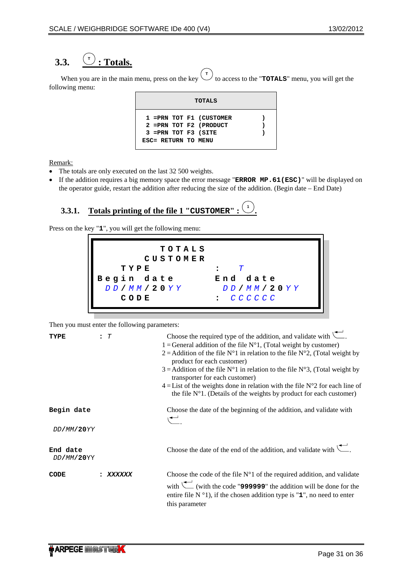### <span id="page-30-0"></span>**3.3.**  $\left(\frac{1}{2}\right)$  **: Totals.**

When you are in the main menu, press on the key  $\left($  $\begin{pmatrix} \tau \\ \tau \end{pmatrix}$  to access to the "**TOTALS**" menu, you will get the following menu:

|                                             | TOTALS                                              |  |
|---------------------------------------------|-----------------------------------------------------|--|
| 3 = PRN TOT F3 (SITE<br>ESC= RETURN TO MENU | 1 = PRN TOT F1 (CUSTOMER<br>2 = PRN TOT F2 (PRODUCT |  |

Remark:

- The totals are only executed on the last 32 500 weights.
- If the addition requires a big memory space the error message "**ERROR MP.61(ESC)**" will be displayed on the operator guide, restart the addition after reducing the size of the addition. (Begin date – End Date)

#### **3.3.1. Totals printing of the file 1 "CUSTOMER" : <sup>1</sup> .**

<span id="page-30-1"></span>Press on the key "**1**", you will get the following menu:

| TOTALS     |            |
|------------|------------|
| CUSTOMER   |            |
| TYPE       |            |
| Begin date | End date   |
| DD/MM/20YY | DD/MM/20YY |
| CODE       |            |
|            |            |

Then you must enter the following parameters:

| TYPE                   | : T    | Choose the required type of the addition, and validate with $\setminus$ .<br>1 = General addition of the file $N^{\circ}1$ , (Total weight by customer)<br>2 = Addition of the file $N^{\circ}1$ in relation to the file $N^{\circ}2$ , (Total weight by<br>product for each customer)<br>$3$ = Addition of the file N°1 in relation to the file N°3, (Total weight by |
|------------------------|--------|------------------------------------------------------------------------------------------------------------------------------------------------------------------------------------------------------------------------------------------------------------------------------------------------------------------------------------------------------------------------|
|                        |        | transporter for each customer)<br>$4 = List$ of the weights done in relation with the file N°2 for each line of<br>the file $N^{\circ}1$ . (Details of the weights by product for each customer)                                                                                                                                                                       |
| Begin date             |        | Choose the date of the beginning of the addition, and validate with<br>$\overline{\phantom{0}}$                                                                                                                                                                                                                                                                        |
| DD/MM/20YY             |        |                                                                                                                                                                                                                                                                                                                                                                        |
| End date<br>DD/MM/20YY |        | Choose the date of the end of the addition, and validate with $\left\lfloor \frac{1}{n} \right\rfloor$ .                                                                                                                                                                                                                                                               |
| CODE                   | xxxxxx | Choose the code of the file $N^{\circ}1$ of the required addition, and validate<br>with $\sqrt{\phantom{a}}$ (with the code "999999" the addition will be done for the<br>entire file $N^{\circ}1$ ), if the chosen addition type is "1", no need to enter<br>this parameter                                                                                           |

 $\sim$   $-$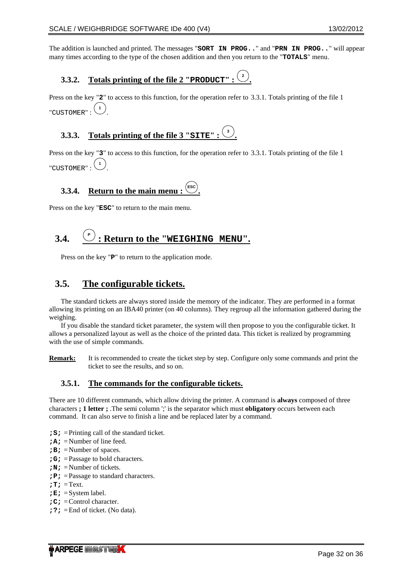<span id="page-31-0"></span>The addition is launched and printed. The messages "**SORT IN PROG..**" and "**PRN IN PROG..**" will appear many times according to the type of the chosen addition and then you return to the "**TOTALS**" menu.

#### **3.3.2. Totals printing of the file 2 "PRODUCT" : <sup>2</sup> .**

Press on the key "**2**" to access to this function, for the operation refer to [3.3.1](#page-30-1). [Totals printing of the file 1](#page-30-1)  ["](#page-30-1)[CUSTOMER](#page-30-1)[" :](#page-30-1) **<sup>1</sup>** .

#### **3.3.3. Totals printing of the file 3 "SITE" : <sup>3</sup> .**

Press on the key "**3**" to access to this function, for the operation refer to [3.3.1](#page-30-1). [Totals printing of the file 1](#page-30-1)   $"CUSTOMER" :$  $"CUSTOMER" :$  $"CUSTOMER" :$ <sup>(1)</sup> .

#### **3.3.4. Return to the main menu .**

Press on the key "**ESC**" to return to the main menu.

### **3.4. <sup>P</sup> : Return to the "WEIGHING MENU".**

Press on the key "**P**" to return to the application mode.

# **3.5. The configurable tickets.**

<span id="page-31-1"></span>The standard tickets are always stored inside the memory of the indicator. They are performed in a format allowing its printing on an IBA40 printer (on 40 columns). They regroup all the information gathered during the weighing.

If you disable the standard ticket parameter, the system will then propose to you the configurable ticket. It allows a personalized layout as well as the choice of the printed data. This ticket is realized by programming with the use of simple commands.

**Remark:** It is recommended to create the ticket step by step. Configure only some commands and print the ticket to see the results, and so on.

## **3.5.1. The commands for the configurable tickets.**

There are 10 different commands, which allow driving the printer. A command is **always** composed of three characters **; 1 letter ;** .The semi column ';' is the separator which must **obligatory** occurs between each command. It can also serve to finish a line and be replaced later by a command.

- **;S;** = Printing call of the standard ticket.
- **;A;** = Number of line feed.
- **;B;** = Number of spaces.
- **;G;** = Passage to bold characters.
- **;N;** = Number of tickets.
- **;P;** = Passage to standard characters.
- **;T;** = Text.
- $;E; =$ System label.
- **;C;** = Control character.
- **;?;** = End of ticket. (No data).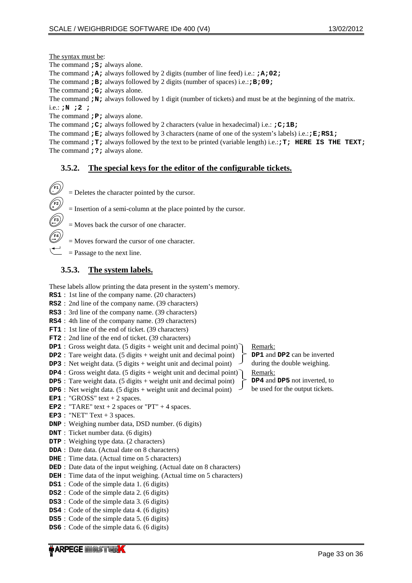<span id="page-32-0"></span>The syntax must be:

The command **;S;** always alone.

The command **;A;** always followed by 2 digits (number of line feed) i.e.: **;A;02;** 

The command **;B;** always followed by 2 digits (number of spaces) i.e.:**;B;09;**

The command **;G;** always alone.

The command **;N;** always followed by 1 digit (number of tickets) and must be at the beginning of the matrix.

i.e.: **;N ;2 ;**

The command **;P;** always alone.

The command **;C;** always followed by 2 characters (value in hexadecimal) i.e.: **;C;1B;**

The command **;E;** always followed by 3 characters (name of one of the system's labels) i.e.:**;E;RS1;** The command **;T;** always followed by the text to be printed (variable length) i.e.:**;T; HERE IS THE TEXT;** The command **;?;** always alone.

## **3.5.2. The special keys for the editor of the configurable tickets.**



= Moves back the cursor of one character.

- = Moves forward the cursor of one character.
- $=$  Passage to the next line.

## **3.5.3. The system labels.**

These labels allow printing the data present in the system's memory.

- **RS1** : 1st line of the company name. (20 characters)
- **RS2** : 2nd line of the company name. (39 characters)
- **RS3** : 3rd line of the company name. (39 characters)
- **RS4** : 4th line of the company name. (39 characters)
- **FT1** : 1st line of the end of ticket. (39 characters)
- **FT2** : 2nd line of the end of ticket. (39 characters)
- **DP1** : Gross weight data. (5 digits + weight unit and decimal point)
- **DP2** : Tare weight data. (5 digits + weight unit and decimal point)
- **DP3** : Net weight data. (5 digits + weight unit and decimal point)
- **DP4** : Gross weight data. (5 digits + weight unit and decimal point)
- **DP5** : Tare weight data. (5 digits + weight unit and decimal point) **DP6** : Net weight data. (5 digits + weight unit and decimal point)
- **EP1** : "GROSS" text  $+ 2$  spaces.
- **EP2** : "TARE" text  $+ 2$  spaces or "PT"  $+ 4$  spaces.
- **EP3** : "NET" Text  $+3$  spaces.
- **DNP** : Weighing number data, DSD number. (6 digits)
- **DNT** : Ticket number data. (6 digits)
- **DTP** : Weighing type data. (2 characters)
- **DDA** : Date data. (Actual date on 8 characters)
- **DHE** : Time data. (Actual time on 5 characters)
- **DED** : Date data of the input weighing. (Actual date on 8 characters)
- **DEH** : Time data of the input weighing. (Actual time on 5 characters)
- **DS1** : Code of the simple data 1. (6 digits)
- **DS2** : Code of the simple data 2. (6 digits)
- **DS3** : Code of the simple data 3. (6 digits)
- **DS4** : Code of the simple data 4. (6 digits)
- **DS5** : Code of the simple data 5. (6 digits)
- **DS6** : Code of the simple data 6. (6 digits)

Remark:

**DP1** and **DP2** can be inverted during the double weighing.

Remark:

**DP4** and **DP5** not inverted, to be used for the output tickets.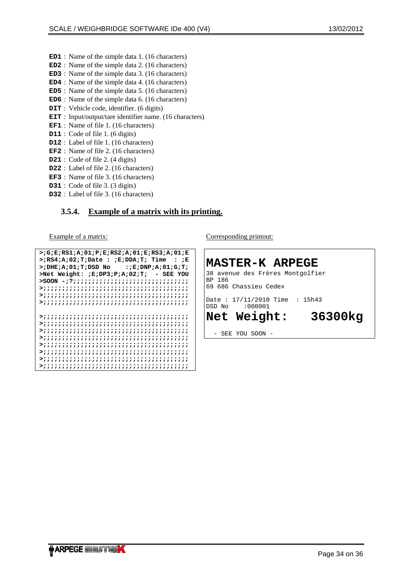- <span id="page-33-0"></span>**ED1** : Name of the simple data 1. (16 characters)
- **ED2** : Name of the simple data 2. (16 characters)
- **ED3** : Name of the simple data 3. (16 characters)
- **ED4** : Name of the simple data 4. (16 characters)
- **ED5** : Name of the simple data 5. (16 characters)
- **ED6** : Name of the simple data 6. (16 characters)
- **DIT** : Vehicle code, identifier. (6 digits)
- **EIT** : Input/output/tare identifier name. (16 characters)
- **EF1** : Name of file 1. (16 characters)
- **D11** : Code of file 1. (6 digits)
- **D12** : Label of file 1. (16 characters)
- **EF2** : Name of file 2. (16 characters)
- **D21** : Code of file 2. (4 digits)
- **D22** : Label of file 2. (16 characters)
- **EF3** : Name of file 3. (16 characters)
- **D31** : Code of file 3. (3 digits)
- **D32** : Label of file 3. (16 characters)

## **3.5.4. Example of a matrix with its printing.**

Example of a matrix:

```
>;G;E;RS1;A;01;P;E;RS2;A;01;E;RS3;A;01;E 
>;RS4;A;02;T;Date : ;E;DDA;T; Time : ;E 
>;DHE;A;01;T;DSD No :;E;DNP;A;01;G;T; 
>Net Weight: ;E;DP3;P;A;02;T; - SEE YOU 
>SOON -;?;;;;;;;;;;;;;;;;;;;;;;;;;;;;;;; 
>;;;;;;;;;;;;;;;;;;;;;;;;;;;;;;;;;;;;;;; 
>;;;;;;;;;;;;;;;;;;;;;;;;;;;;;;;;;;;;;;; 
>;;;;;;;;;;;;;;;;;;;;;;;;;;;;;;;;;;;;;;; 
>;;;;;;;;;;;;;;;;;;;;;;;;;;;;;;;;;;;;;;; 
>;;;;;;;;;;;;;;;;;;;;;;;;;;;;;;;;;;;;;;; 
>;;;;;;;;;;;;;;;;;;;;;;;;;;;;;;;;;;;;;;; 
>;;;;;;;;;;;;;;;;;;;;;;;;;;;;;;;;;;;;;;; 
>;;;;;;;;;;;;;;;;;;;;;;;;;;;;;;;;;;;;;;; 
>;;;;;;;;;;;;;;;;;;;;;;;;;;;;;;;;;;;;;;; 
>;;;;;;;;;;;;;;;;;;;;;;;;;;;;;;;;;;;;;;; 
>;;;;;;;;;;;;;;;;;;;;;;;;;;;;;;;;;;;;;;;
```
Corresponding printout:

**MASTER-K ARPEGE**  38 avenue des Frères Montgolfier BP 186 69 686 Chassieu Cedex Date : 17/11/2010 Time : 15h43<br>DSD No : 000001 DSD No **Net Weight: 36300kg**  SEE YOU SOON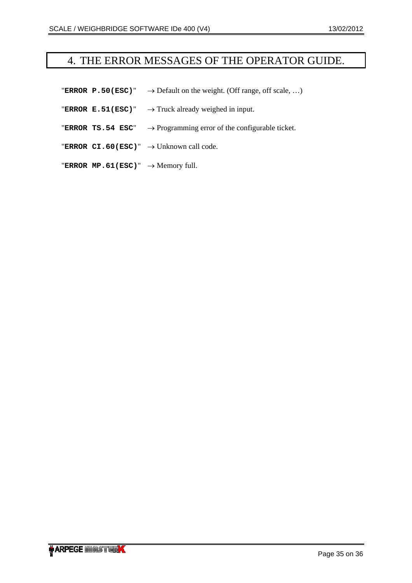# <span id="page-34-0"></span>4. THE ERROR MESSAGES OF THE OPERATOR GUIDE.

- **"ERROR P.50(ESC)"**  $\rightarrow$  Default on the weight. (Off range, off scale, ...)
- **"ERROR E.51(ESC)"**  $\rightarrow$  Truck already weighed in input.
- "**ERROR TS.54 ESC**" → Programming error of the configurable ticket.
- "**ERROR CI.60(ESC)**" → Unknown call code.
- "ERROR  $MP.61(ESC)$ "  $\rightarrow$  Memory full.